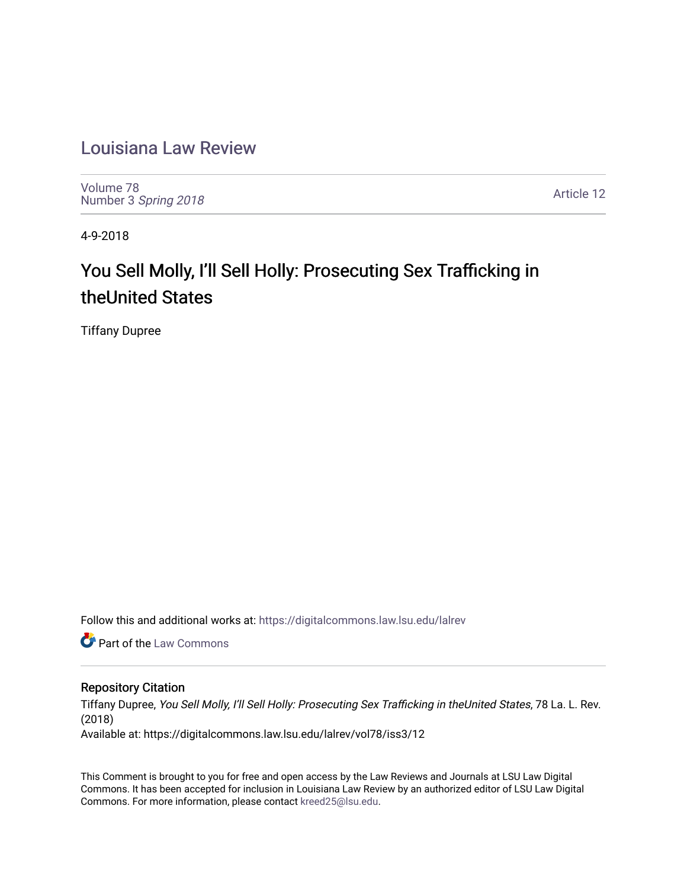# [Louisiana Law Review](https://digitalcommons.law.lsu.edu/lalrev)

[Volume 78](https://digitalcommons.law.lsu.edu/lalrev/vol78) Number 3 [Spring 2018](https://digitalcommons.law.lsu.edu/lalrev/vol78/iss3) 

[Article 12](https://digitalcommons.law.lsu.edu/lalrev/vol78/iss3/12) 

4-9-2018

# You Sell Molly, I'll Sell Holly: Prosecuting Sex Trafficking in theUnited States

Tiffany Dupree

Follow this and additional works at: [https://digitalcommons.law.lsu.edu/lalrev](https://digitalcommons.law.lsu.edu/lalrev?utm_source=digitalcommons.law.lsu.edu%2Flalrev%2Fvol78%2Fiss3%2F12&utm_medium=PDF&utm_campaign=PDFCoverPages)

**C** Part of the [Law Commons](http://network.bepress.com/hgg/discipline/578?utm_source=digitalcommons.law.lsu.edu%2Flalrev%2Fvol78%2Fiss3%2F12&utm_medium=PDF&utm_campaign=PDFCoverPages)

# Repository Citation

Tiffany Dupree, You Sell Molly, I'll Sell Holly: Prosecuting Sex Trafficking in theUnited States, 78 La. L. Rev. (2018)

Available at: https://digitalcommons.law.lsu.edu/lalrev/vol78/iss3/12

This Comment is brought to you for free and open access by the Law Reviews and Journals at LSU Law Digital Commons. It has been accepted for inclusion in Louisiana Law Review by an authorized editor of LSU Law Digital Commons. For more information, please contact [kreed25@lsu.edu](mailto:kreed25@lsu.edu).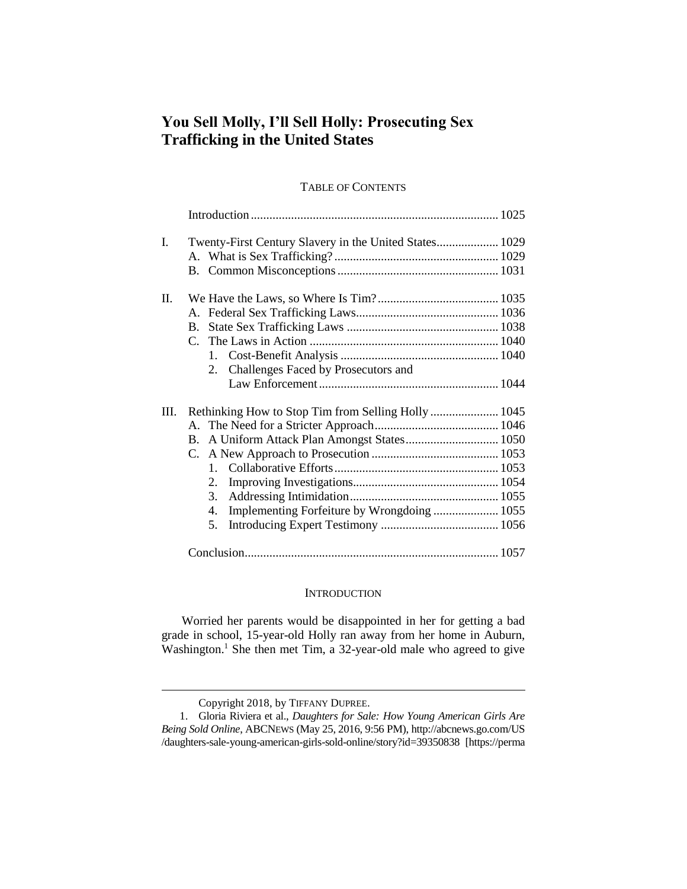# **You Sell Molly, I'll Sell Holly: Prosecuting Sex Trafficking in the United States**

# TABLE OF CONTENTS

| $\mathbf{I}$ . | Twenty-First Century Slavery in the United States 1029 |
|----------------|--------------------------------------------------------|
|                |                                                        |
|                |                                                        |
| II.            |                                                        |
|                |                                                        |
|                | B.                                                     |
|                |                                                        |
|                |                                                        |
|                | 2. Challenges Faced by Prosecutors and                 |
|                |                                                        |
| III.           | Rethinking How to Stop Tim from Selling Holly  1045    |
|                |                                                        |
|                | A Uniform Attack Plan Amongst States 1050<br>B.        |
|                | C.                                                     |
|                |                                                        |
|                | 2.                                                     |
|                | 3.                                                     |
|                | Implementing Forfeiture by Wrongdoing  1055<br>4.      |
|                | 5.                                                     |
|                |                                                        |

# **INTRODUCTION**

Worried her parents would be disappointed in her for getting a bad grade in school, 15-year-old Holly ran away from her home in Auburn, Washington. <sup>1</sup> She then met Tim, a 32-year-old male who agreed to give

Copyright 2018, by TIFFANY DUPREE.

<sup>1.</sup> Gloria Riviera et al., *Daughters for Sale: How Young American Girls Are Being Sold Online*, ABCNEWS (May 25, 2016, 9:56 PM), http://abcnews.go.com/US /daughters-sale-young-american-girls-sold-online/story?id=39350838 [https://perma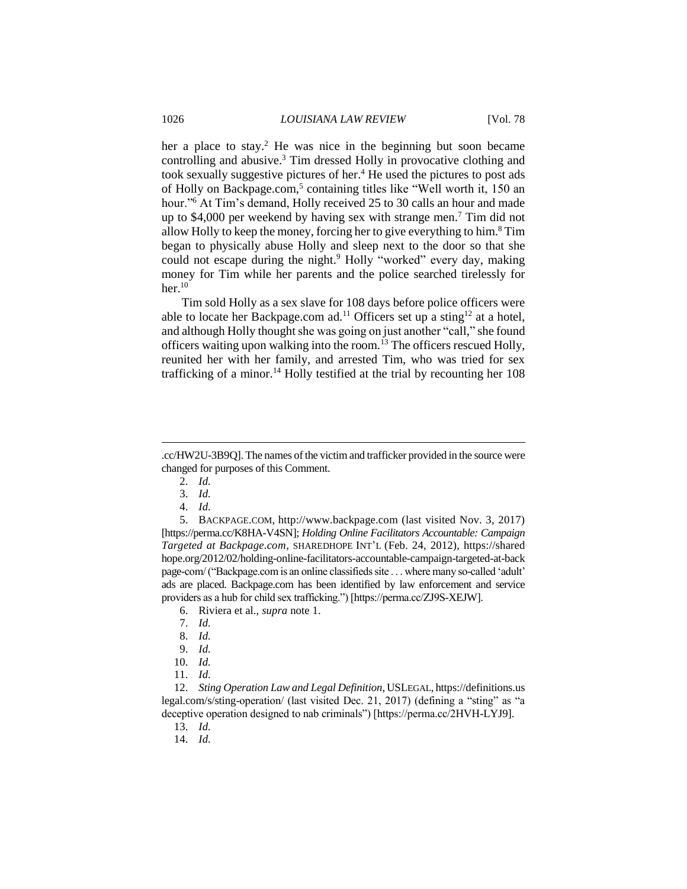her a place to stay.<sup>2</sup> He was nice in the beginning but soon became controlling and abusive. <sup>3</sup> Tim dressed Holly in provocative clothing and took sexually suggestive pictures of her.<sup>4</sup> He used the pictures to post ads of Holly on Backpage.com,<sup>5</sup> containing titles like "Well worth it, 150 an hour."<sup>6</sup> At Tim's demand, Holly received 25 to 30 calls an hour and made up to \$4,000 per weekend by having sex with strange men.<sup>7</sup> Tim did not allow Holly to keep the money, forcing her to give everything to him. $8$  Tim began to physically abuse Holly and sleep next to the door so that she could not escape during the night.<sup>9</sup> Holly "worked" every day, making money for Tim while her parents and the police searched tirelessly for her. $10$ 

Tim sold Holly as a sex slave for 108 days before police officers were able to locate her Backpage.com ad.<sup>11</sup> Officers set up a sting<sup>12</sup> at a hotel, and although Holly thought she was going on just another "call," she found officers waiting upon walking into the room.<sup>13</sup> The officers rescued Holly, reunited her with her family, and arrested Tim, who was tried for sex trafficking of a minor.<sup>14</sup> Holly testified at the trial by recounting her 108

 $\overline{a}$ 

4. *Id.*

5. BACKPAGE.COM, http://www.backpage.com (last visited Nov. 3, 2017) [https://perma.cc/K8HA-V4SN]; *Holding Online Facilitators Accountable: Campaign Targeted at Backpage.com*, SHAREDHOPE INT'L (Feb. 24, 2012), https://shared hope.org/2012/02/holding-online-facilitators-accountable-campaign-targeted-at-back page-com/ ("Backpage.com is an online classifieds site . . . where many so-called 'adult' ads are placed. Backpage.com has been identified by law enforcement and service providers as a hub for child sex trafficking.") [https://perma.cc/ZJ9S-XEJW].

- 6. Riviera et al., *supra* note 1.
- 7. *Id.*
- 8. *Id.*
- 9. *Id.*
- 10. *Id.*
- 11. *Id.*

12. *Sting Operation Law and Legal Definition*, USLEGAL, https://definitions.us legal.com/s/sting-operation/ (last visited Dec. 21, 2017) (defining a "sting" as "a deceptive operation designed to nab criminals") [https://perma.cc/2HVH-LYJ9].

13. *Id.*

14. *Id.*

<sup>.</sup>cc/HW2U-3B9Q]. The names of the victim and trafficker provided in the source were changed for purposes of this Comment.

<sup>2.</sup> *Id.*

<sup>3.</sup> *Id.*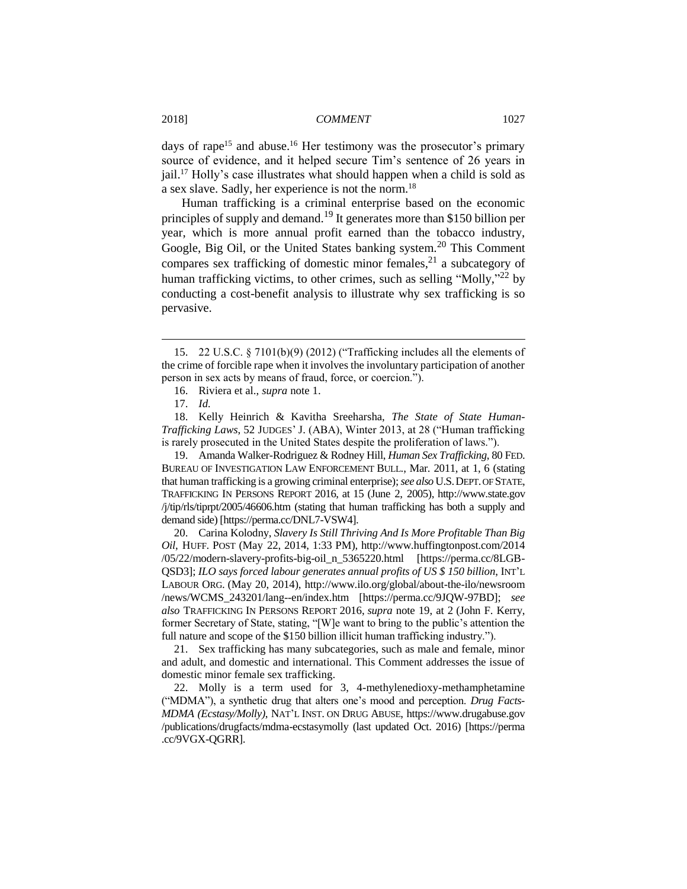days of rape<sup>15</sup> and abuse.<sup>16</sup> Her testimony was the prosecutor's primary source of evidence, and it helped secure Tim's sentence of 26 years in jail.<sup>17</sup> Holly's case illustrates what should happen when a child is sold as a sex slave. Sadly, her experience is not the norm.<sup>18</sup>

Human trafficking is a criminal enterprise based on the economic principles of supply and demand.<sup>19</sup> It generates more than \$150 billion per year, which is more annual profit earned than the tobacco industry, Google, Big Oil, or the United States banking system.<sup>20</sup> This Comment compares sex trafficking of domestic minor females, $^{21}$  a subcategory of human trafficking victims, to other crimes, such as selling "Molly,"<sup>22</sup> by conducting a cost-benefit analysis to illustrate why sex trafficking is so pervasive.

 $\overline{a}$ 

19. Amanda Walker-Rodriguez & Rodney Hill, *Human Sex Trafficking*, 80 FED. BUREAU OF INVESTIGATION LAW ENFORCEMENT BULL., Mar. 2011, at 1, 6 (stating that human trafficking is a growing criminal enterprise); *see also* U.S.DEPT.OF STATE, TRAFFICKING IN PERSONS REPORT 2016, at 15 (June 2, 2005), http://www.state.gov /j/tip/rls/tiprpt/2005/46606.htm (stating that human trafficking has both a supply and demand side) [https://perma.cc/DNL7-VSW4].

20. Carina Kolodny, *Slavery Is Still Thriving And Is More Profitable Than Big Oil*, HUFF. POST (May 22, 2014, 1:33 PM), http://www.huffingtonpost.com/2014 /05/22/modern-slavery-profits-big-oil\_n\_5365220.html [https://perma.cc/8LGB-QSD3]; *ILO says forced labour generates annual profits of US \$ 150 billion*, INT'L LABOUR ORG. (May 20, 2014), http://www.ilo.org/global/about-the-ilo/newsroom /news/WCMS\_243201/lang--en/index.htm [https://perma.cc/9JQW-97BD]; *see also* TRAFFICKING IN PERSONS REPORT 2016, *supra* note 19, at 2 (John F. Kerry, former Secretary of State, stating, "[W]e want to bring to the public's attention the full nature and scope of the \$150 billion illicit human trafficking industry.").

21. Sex trafficking has many subcategories, such as male and female, minor and adult, and domestic and international. This Comment addresses the issue of domestic minor female sex trafficking.

22. Molly is a term used for 3, 4-methylenedioxy-methamphetamine ("MDMA"), a synthetic drug that alters one's mood and perception. *Drug Facts-MDMA (Ecstasy/Molly)*, NAT'L INST. ON DRUG ABUSE, https://www.drugabuse.gov /publications/drugfacts/mdma-ecstasymolly (last updated Oct. 2016) [https://perma .cc/9VGX-QGRR].

<sup>15.</sup> 22 U.S.C. § 7101(b)(9) (2012) ("Trafficking includes all the elements of the crime of forcible rape when it involves the involuntary participation of another person in sex acts by means of fraud, force, or coercion.").

<sup>16.</sup> Riviera et al., *supra* note 1.

<sup>17.</sup> *Id.*

<sup>18.</sup> Kelly Heinrich & Kavitha Sreeharsha, *The State of State Human-Trafficking Laws*, 52 JUDGES' J. (ABA), Winter 2013, at 28 ("Human trafficking is rarely prosecuted in the United States despite the proliferation of laws.").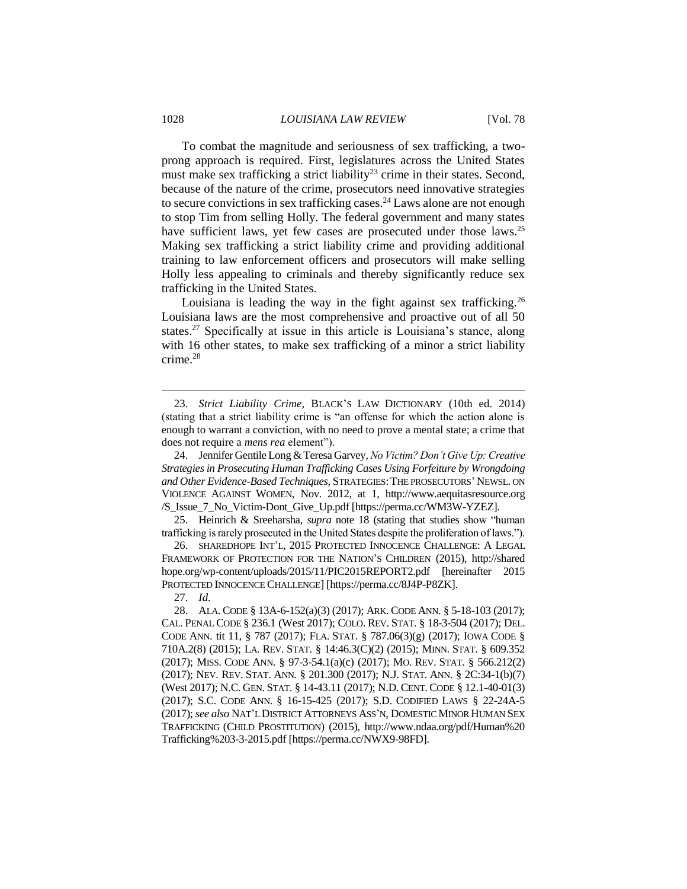To combat the magnitude and seriousness of sex trafficking, a twoprong approach is required. First, legislatures across the United States must make sex trafficking a strict liability<sup>23</sup> crime in their states. Second, because of the nature of the crime, prosecutors need innovative strategies to secure convictions in sex trafficking cases.<sup>24</sup> Laws alone are not enough to stop Tim from selling Holly. The federal government and many states have sufficient laws, yet few cases are prosecuted under those laws.<sup>25</sup> Making sex trafficking a strict liability crime and providing additional training to law enforcement officers and prosecutors will make selling Holly less appealing to criminals and thereby significantly reduce sex trafficking in the United States.

Louisiana is leading the way in the fight against sex trafficking.<sup>26</sup> Louisiana laws are the most comprehensive and proactive out of all 50 states.<sup>27</sup> Specifically at issue in this article is Louisiana's stance, along with 16 other states, to make sex trafficking of a minor a strict liability crime.<sup>28</sup>

<sup>23.</sup> *Strict Liability Crime*, BLACK'S LAW DICTIONARY (10th ed. 2014) (stating that a strict liability crime is "an offense for which the action alone is enough to warrant a conviction, with no need to prove a mental state; a crime that does not require a *mens rea* element").

<sup>24.</sup> Jennifer Gentile Long & Teresa Garvey, *No Victim? Don't Give Up: Creative Strategies in Prosecuting Human Trafficking Cases Using Forfeiture by Wrongdoing and Other Evidence-Based Techniques*, STRATEGIES:THE PROSECUTORS' NEWSL. ON VIOLENCE AGAINST WOMEN, Nov. 2012, at 1, http://www.aequitasresource.org /S\_Issue\_7\_No\_Victim-Dont\_Give\_Up.pdf [https://perma.cc/WM3W-YZEZ].

<sup>25.</sup> Heinrich & Sreeharsha, *supra* note 18 (stating that studies show "human trafficking is rarely prosecuted in the United States despite the proliferation of laws.").

<sup>26.</sup> SHAREDHOPE INT'L, 2015 PROTECTED INNOCENCE CHALLENGE: A LEGAL FRAMEWORK OF PROTECTION FOR THE NATION'S CHILDREN (2015), http://shared hope.org/wp-content/uploads/2015/11/PIC2015REPORT2.pdf [hereinafter 2015 PROTECTED INNOCENCE CHALLENGE] [https://perma.cc/8J4P-P8ZK].

<sup>27.</sup> *Id.*

<sup>28.</sup> ALA. CODE § 13A-6-152(a)(3) (2017); ARK. CODE ANN. § 5-18-103 (2017); CAL. PENAL CODE § 236.1 (West 2017); COLO. REV. STAT. § 18-3-504 (2017); DEL. CODE ANN. tit 11, § 787 (2017); FLA. STAT. § 787.06(3)(g) (2017); IOWA CODE § 710A.2(8) (2015); LA. REV. STAT. § 14:46.3(C)(2) (2015); MINN. STAT. § 609.352 (2017); MISS. CODE ANN. § 97-3-54.1(a)(c) (2017); MO. REV. STAT. § 566.212(2) (2017); NEV. REV. STAT. ANN. § 201.300 (2017); N.J. STAT. ANN. § 2C:34-1(b)(7) (West 2017); N.C. GEN. STAT. § 14-43.11 (2017); N.D. CENT. CODE § 12.1-40-01(3) (2017); S.C. CODE ANN. § 16-15-425 (2017); S.D. CODIFIED LAWS § 22-24A-5 (2017); *see also* NAT'L DISTRICT ATTORNEYS ASS'N, DOMESTIC MINOR HUMAN SEX TRAFFICKING (CHILD PROSTITUTION) (2015), http://www.ndaa.org/pdf/Human%20 Trafficking%203-3-2015.pdf [https://perma.cc/NWX9-98FD].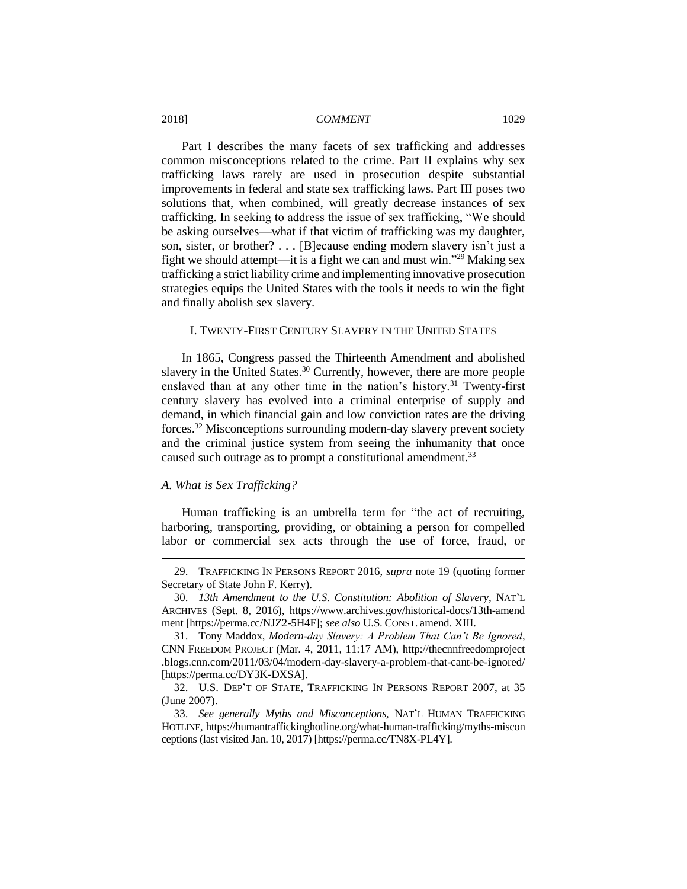Part I describes the many facets of sex trafficking and addresses common misconceptions related to the crime. Part II explains why sex trafficking laws rarely are used in prosecution despite substantial improvements in federal and state sex trafficking laws. Part III poses two solutions that, when combined, will greatly decrease instances of sex trafficking. In seeking to address the issue of sex trafficking, "We should be asking ourselves—what if that victim of trafficking was my daughter, son, sister, or brother? . . . [B]ecause ending modern slavery isn't just a fight we should attempt—it is a fight we can and must win."<sup>29</sup> Making sex trafficking a strict liability crime and implementing innovative prosecution strategies equips the United States with the tools it needs to win the fight and finally abolish sex slavery.

# I. TWENTY-FIRST CENTURY SLAVERY IN THE UNITED STATES

In 1865, Congress passed the Thirteenth Amendment and abolished slavery in the United States.<sup>30</sup> Currently, however, there are more people enslaved than at any other time in the nation's history.<sup>31</sup> Twenty-first century slavery has evolved into a criminal enterprise of supply and demand, in which financial gain and low conviction rates are the driving forces.<sup>32</sup> Misconceptions surrounding modern-day slavery prevent society and the criminal justice system from seeing the inhumanity that once caused such outrage as to prompt a constitutional amendment.<sup>33</sup>

#### *A. What is Sex Trafficking?*

 $\overline{a}$ 

Human trafficking is an umbrella term for "the act of recruiting, harboring, transporting, providing, or obtaining a person for compelled labor or commercial sex acts through the use of force, fraud, or

<sup>29.</sup> TRAFFICKING IN PERSONS REPORT 2016, *supra* note 19 (quoting former Secretary of State John F. Kerry).

<sup>30.</sup> *13th Amendment to the U.S. Constitution: Abolition of Slavery*, NAT'L ARCHIVES (Sept. 8, 2016), https://www.archives.gov/historical-docs/13th-amend ment [https://perma.cc/NJZ2-5H4F]; *see also* U.S. CONST. amend. XIII.

<sup>31.</sup> Tony Maddox, *Modern-day Slavery: A Problem That Can't Be Ignored*, CNN FREEDOM PROJECT (Mar. 4, 2011, 11:17 AM), http://thecnnfreedomproject .blogs.cnn.com/2011/03/04/modern-day-slavery-a-problem-that-cant-be-ignored/ [https://perma.cc/DY3K-DXSA].

<sup>32.</sup> U.S. DEP'T OF STATE, TRAFFICKING IN PERSONS REPORT 2007, at 35 (June 2007).

<sup>33.</sup> *See generally Myths and Misconceptions*, NAT'L HUMAN TRAFFICKING HOTLINE, https://humantraffickinghotline.org/what-human-trafficking/myths-miscon ceptions (last visited Jan. 10, 2017) [https://perma.cc/TN8X-PL4Y].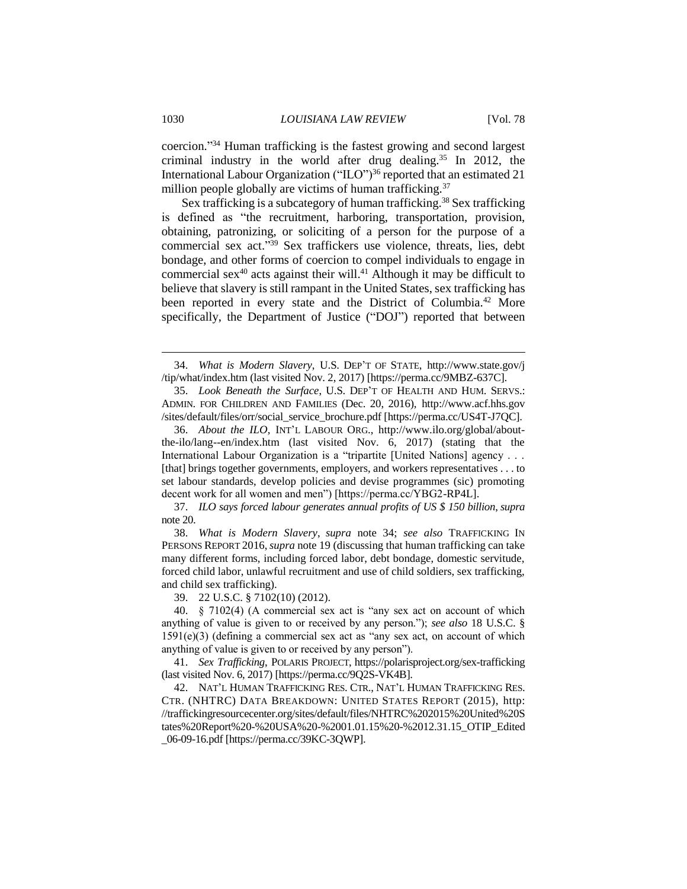coercion." <sup>34</sup> Human trafficking is the fastest growing and second largest criminal industry in the world after drug dealing.<sup>35</sup> In 2012, the International Labour Organization ("ILO")<sup>36</sup> reported that an estimated 21 million people globally are victims of human trafficking.<sup>37</sup>

Sex trafficking is a subcategory of human trafficking.<sup>38</sup> Sex trafficking is defined as "the recruitment, harboring, transportation, provision, obtaining, patronizing, or soliciting of a person for the purpose of a commercial sex act." <sup>39</sup> Sex traffickers use violence, threats, lies, debt bondage, and other forms of coercion to compel individuals to engage in commercial sex $40$  acts against their will. $41$  Although it may be difficult to believe that slavery is still rampant in the United States, sex trafficking has been reported in every state and the District of Columbia.<sup>42</sup> More specifically, the Department of Justice ("DOJ") reported that between

37. *ILO says forced labour generates annual profits of US \$ 150 billion*, *supra*  note 20.

39. 22 U.S.C. § 7102(10) (2012).

40. § 7102(4) (A commercial sex act is "any sex act on account of which anything of value is given to or received by any person."); *see also* 18 U.S.C. § 1591(e)(3) (defining a commercial sex act as "any sex act, on account of which anything of value is given to or received by any person").

41. *Sex Trafficking*, POLARIS PROJECT, https://polarisproject.org/sex-trafficking (last visited Nov. 6, 2017) [https://perma.cc/9Q2S-VK4B].

42. NAT'L HUMAN TRAFFICKING RES. CTR., NAT'L HUMAN TRAFFICKING RES. CTR. (NHTRC) DATA BREAKDOWN: UNITED STATES REPORT (2015), http: //traffickingresourcecenter.org/sites/default/files/NHTRC%202015%20United%20S tates%20Report%20-%20USA%20-%2001.01.15%20-%2012.31.15\_OTIP\_Edited \_06-09-16.pdf [https://perma.cc/39KC-3QWP].

<sup>34.</sup> *What is Modern Slavery*, U.S. DEP'T OF STATE, http://www.state.gov/j /tip/what/index.htm (last visited Nov. 2, 2017) [https://perma.cc/9MBZ-637C].

<sup>35.</sup> *Look Beneath the Surface*, U.S. DEP'T OF HEALTH AND HUM. SERVS.: ADMIN. FOR CHILDREN AND FAMILIES (Dec. 20, 2016), http://www.acf.hhs.gov /sites/default/files/orr/social\_service\_brochure.pdf [https://perma.cc/US4T-J7QC].

<sup>36.</sup> *About the ILO*, INT'L LABOUR ORG., http://www.ilo.org/global/aboutthe-ilo/lang--en/index.htm (last visited Nov. 6, 2017) (stating that the International Labour Organization is a "tripartite [United Nations] agency . . . [that] brings together governments, employers, and workers representatives . . . to set labour standards, develop policies and devise programmes (sic) promoting decent work for all women and men") [https://perma.cc/YBG2-RP4L].

<sup>38.</sup> *What is Modern Slavery*, *supra* note 34; *see also* TRAFFICKING IN PERSONS REPORT 2016,*supra* note 19 (discussing that human trafficking can take many different forms, including forced labor, debt bondage, domestic servitude, forced child labor, unlawful recruitment and use of child soldiers, sex trafficking, and child sex trafficking).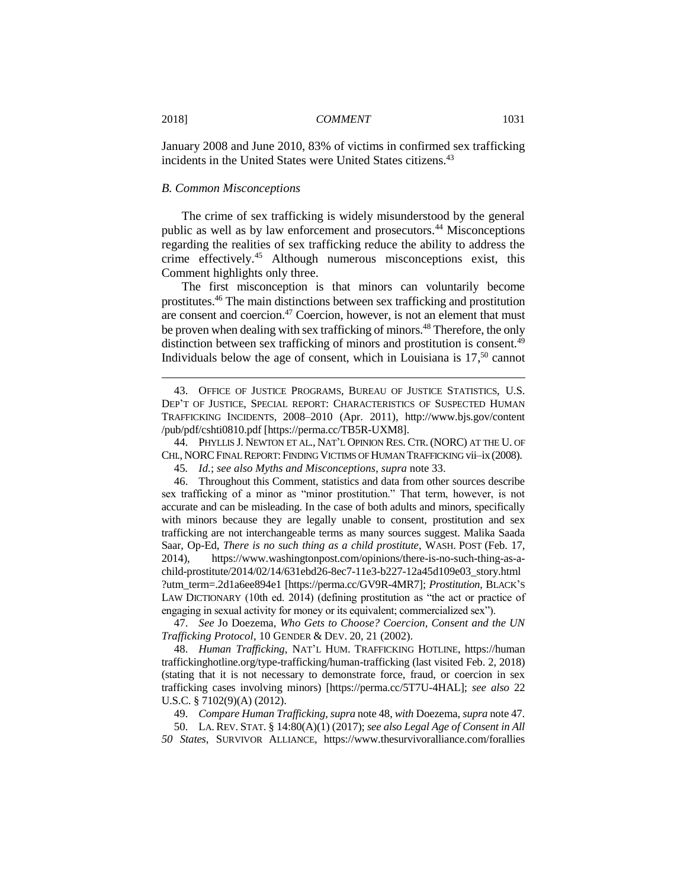January 2008 and June 2010, 83% of victims in confirmed sex trafficking incidents in the United States were United States citizens.<sup>43</sup>

#### *B. Common Misconceptions*

The crime of sex trafficking is widely misunderstood by the general public as well as by law enforcement and prosecutors.<sup>44</sup> Misconceptions regarding the realities of sex trafficking reduce the ability to address the crime effectively.<sup>45</sup> Although numerous misconceptions exist, this Comment highlights only three.

The first misconception is that minors can voluntarily become prostitutes.<sup>46</sup> The main distinctions between sex trafficking and prostitution are consent and coercion.<sup>47</sup> Coercion, however, is not an element that must be proven when dealing with sex trafficking of minors.<sup>48</sup> Therefore, the only distinction between sex trafficking of minors and prostitution is consent.<sup>49</sup> Individuals below the age of consent, which in Louisiana is  $17<sup>50</sup>$  cannot

44. PHYLLIS J. NEWTON ET AL., NAT'L OPINION RES. CTR. (NORC) AT THE U. OF CHI., NORCFINAL REPORT: FINDING VICTIMS OF HUMAN TRAFFICKING vii–ix (2008).

45*. Id.*; *see also Myths and Misconceptions*, *supra* note 33.

46. Throughout this Comment, statistics and data from other sources describe sex trafficking of a minor as "minor prostitution." That term, however, is not accurate and can be misleading. In the case of both adults and minors, specifically with minors because they are legally unable to consent, prostitution and sex trafficking are not interchangeable terms as many sources suggest. Malika Saada Saar, Op-Ed, *There is no such thing as a child prostitute*, WASH. POST (Feb. 17, 2014), https://www.washingtonpost.com/opinions/there-is-no-such-thing-as-achild-prostitute/2014/02/14/631ebd26-8ec7-11e3-b227-12a45d109e03\_story.html ?utm\_term=.2d1a6ee894e1 [https://perma.cc/GV9R-4MR7]; *Prostitution*, BLACK'S LAW DICTIONARY (10th ed. 2014) (defining prostitution as "the act or practice of engaging in sexual activity for money or its equivalent; commercialized sex").

47. *See* Jo Doezema, *Who Gets to Choose? Coercion, Consent and the UN Trafficking Protocol*, 10 GENDER & DEV. 20, 21 (2002).

48. *Human Trafficking*, NAT'L HUM. TRAFFICKING HOTLINE, https://human traffickinghotline.org/type-trafficking/human-trafficking (last visited Feb. 2, 2018) (stating that it is not necessary to demonstrate force, fraud, or coercion in sex trafficking cases involving minors) [https://perma.cc/5T7U-4HAL]; *see also* 22 U.S.C. § 7102(9)(A) (2012).

49. *Compare Human Trafficking*, *supra* note 48, *with* Doezema, *supra* note 47.

50. LA. REV. STAT. § 14:80(A)(1) (2017); *see also Legal Age of Consent in All 50 States*, SURVIVOR ALLIANCE, https://www.thesurvivoralliance.com/forallies

<sup>43.</sup> OFFICE OF JUSTICE PROGRAMS, BUREAU OF JUSTICE STATISTICS, U.S. DEP'T OF JUSTICE, SPECIAL REPORT: CHARACTERISTICS OF SUSPECTED HUMAN TRAFFICKING INCIDENTS, 2008–2010 (Apr. 2011), http://www.bjs.gov/content /pub/pdf/cshti0810.pdf [https://perma.cc/TB5R-UXM8].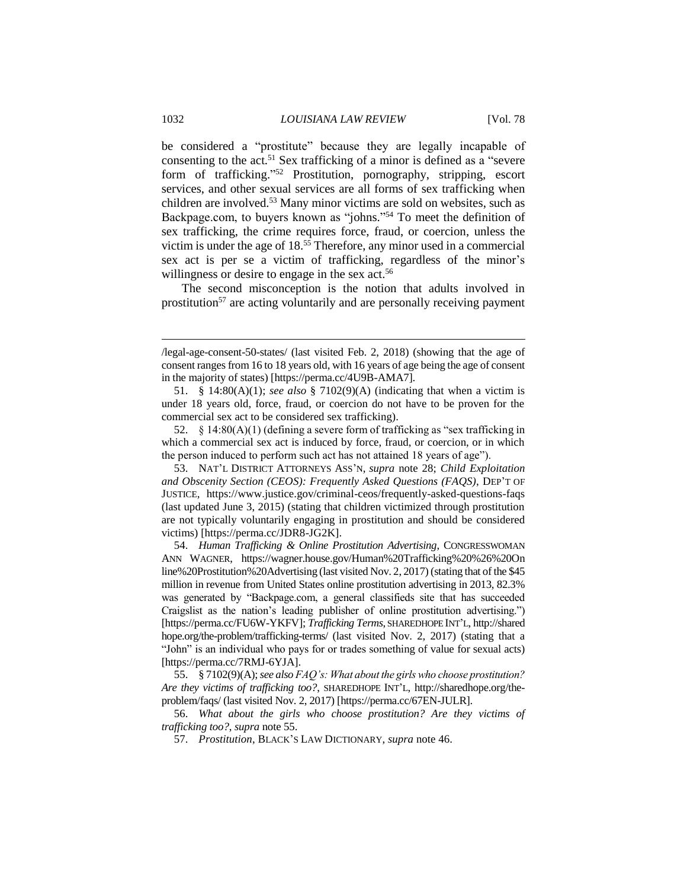be considered a "prostitute" because they are legally incapable of consenting to the act.<sup>51</sup> Sex trafficking of a minor is defined as a "severe form of trafficking." <sup>52</sup> Prostitution, pornography, stripping, escort services, and other sexual services are all forms of sex trafficking when children are involved.<sup>53</sup> Many minor victims are sold on websites, such as Backpage.com, to buyers known as "johns." <sup>54</sup> To meet the definition of sex trafficking, the crime requires force, fraud, or coercion, unless the victim is under the age of 18. <sup>55</sup> Therefore, any minor used in a commercial sex act is per se a victim of trafficking, regardless of the minor's willingness or desire to engage in the sex act.<sup>56</sup>

The second misconception is the notion that adults involved in prostitution<sup>57</sup> are acting voluntarily and are personally receiving payment

<sup>/</sup>legal-age-consent-50-states/ (last visited Feb. 2, 2018) (showing that the age of consent ranges from 16 to 18 years old, with 16 years of age being the age of consent in the majority of states) [https://perma.cc/4U9B-AMA7].

<sup>51.</sup> § 14:80(A)(1); *see also* § 7102(9)(A) (indicating that when a victim is under 18 years old, force, fraud, or coercion do not have to be proven for the commercial sex act to be considered sex trafficking).

<sup>52.</sup> § 14:80(A)(1) (defining a severe form of trafficking as "sex trafficking in which a commercial sex act is induced by force, fraud, or coercion, or in which the person induced to perform such act has not attained 18 years of age").

<sup>53.</sup> NAT'L DISTRICT ATTORNEYS ASS'N, *supra* note 28; *Child Exploitation and Obscenity Section (CEOS): Frequently Asked Questions (FAQS)*, DEP'T OF JUSTICE, https://www.justice.gov/criminal-ceos/frequently-asked-questions-faqs (last updated June 3, 2015) (stating that children victimized through prostitution are not typically voluntarily engaging in prostitution and should be considered victims) [https://perma.cc/JDR8-JG2K].

<sup>54.</sup> *Human Trafficking & Online Prostitution Advertising*, CONGRESSWOMAN ANN WAGNER, https://wagner.house.gov/Human%20Trafficking%20%26%20On line%20Prostitution%20Advertising (last visited Nov. 2, 2017) (stating that of the \$45 million in revenue from United States online prostitution advertising in 2013, 82.3% was generated by "Backpage.com, a general classifieds site that has succeeded Craigslist as the nation's leading publisher of online prostitution advertising.") [https://perma.cc/FU6W-YKFV]; *Trafficking Terms*, SHAREDHOPE INT'L, http://shared hope.org/the-problem/trafficking-terms/ (last visited Nov. 2, 2017) (stating that a "John" is an individual who pays for or trades something of value for sexual acts) [https://perma.cc/7RMJ-6YJA].

<sup>55.</sup> § 7102(9)(A); *see also FAQ's: What about the girls who choose prostitution? Are they victims of trafficking too?*, SHAREDHOPE INT'L, http://sharedhope.org/theproblem/faqs/ (last visited Nov. 2, 2017) [https://perma.cc/67EN-JULR].

<sup>56.</sup> *What about the girls who choose prostitution? Are they victims of trafficking too?*, *supra* note 55.

<sup>57.</sup> *Prostitution*, BLACK'S LAW DICTIONARY, *supra* note 46.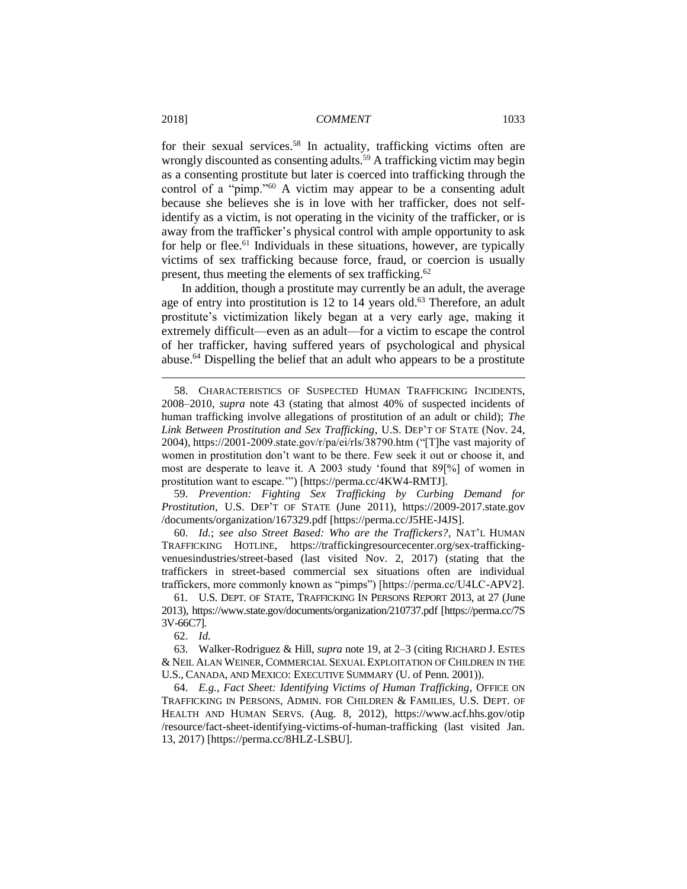for their sexual services.<sup>58</sup> In actuality, trafficking victims often are wrongly discounted as consenting adults.<sup>59</sup> A trafficking victim may begin as a consenting prostitute but later is coerced into trafficking through the control of a "pimp."<sup>60</sup> A victim may appear to be a consenting adult because she believes she is in love with her trafficker, does not selfidentify as a victim, is not operating in the vicinity of the trafficker, or is away from the trafficker's physical control with ample opportunity to ask for help or flee.<sup>61</sup> Individuals in these situations, however, are typically victims of sex trafficking because force, fraud, or coercion is usually present, thus meeting the elements of sex trafficking.<sup>62</sup>

In addition, though a prostitute may currently be an adult, the average age of entry into prostitution is 12 to 14 years old.<sup>63</sup> Therefore, an adult prostitute's victimization likely began at a very early age, making it extremely difficult—even as an adult—for a victim to escape the control of her trafficker, having suffered years of psychological and physical abuse.<sup>64</sup> Dispelling the belief that an adult who appears to be a prostitute

59. *Prevention: Fighting Sex Trafficking by Curbing Demand for Prostitution*, U.S. DEP'T OF STATE (June 2011), https://2009-2017.state.gov /documents/organization/167329.pdf [https://perma.cc/J5HE-J4JS].

60. *Id.*; *see also Street Based: Who are the Traffickers?*, NAT'L HUMAN TRAFFICKING HOTLINE, https://traffickingresourcecenter.org/sex-traffickingvenuesindustries/street-based (last visited Nov. 2, 2017) (stating that the traffickers in street-based commercial sex situations often are individual traffickers, more commonly known as "pimps") [https://perma.cc/U4LC-APV2].

61*.* U.S. DEPT. OF STATE, TRAFFICKING IN PERSONS REPORT 2013, at 27 (June 2013), https://www.state.gov/documents/organization/210737.pdf [https://perma.cc/7S 3V-66C7].

62. *Id.*

63. Walker-Rodriguez & Hill, *supra* note 19, at 2–3 (citing RICHARD J. ESTES & NEIL ALAN WEINER, COMMERCIAL SEXUAL EXPLOITATION OF CHILDREN IN THE U.S., CANADA, AND MEXICO: EXECUTIVE SUMMARY (U. of Penn. 2001)).

64. *E.g.*, *Fact Sheet: Identifying Victims of Human Trafficking*, OFFICE ON TRAFFICKING IN PERSONS, ADMIN. FOR CHILDREN & FAMILIES, U.S. DEPT. OF HEALTH AND HUMAN SERVS. (Aug. 8, 2012), https://www.acf.hhs.gov/otip /resource/fact-sheet-identifying-victims-of-human-trafficking (last visited Jan. 13, 2017) [https://perma.cc/8HLZ-LSBU].

<sup>58.</sup> CHARACTERISTICS OF SUSPECTED HUMAN TRAFFICKING INCIDENTS, 2008–2010, *supra* note 43 (stating that almost 40% of suspected incidents of human trafficking involve allegations of prostitution of an adult or child); *The Link Between Prostitution and Sex Trafficking*, U.S. DEP'T OF STATE (Nov. 24, 2004), https://2001-2009.state.gov/r/pa/ei/rls/38790.htm ("[T]he vast majority of women in prostitution don't want to be there. Few seek it out or choose it, and most are desperate to leave it. A 2003 study 'found that 89[%] of women in prostitution want to escape.'") [https://perma.cc/4KW4-RMTJ].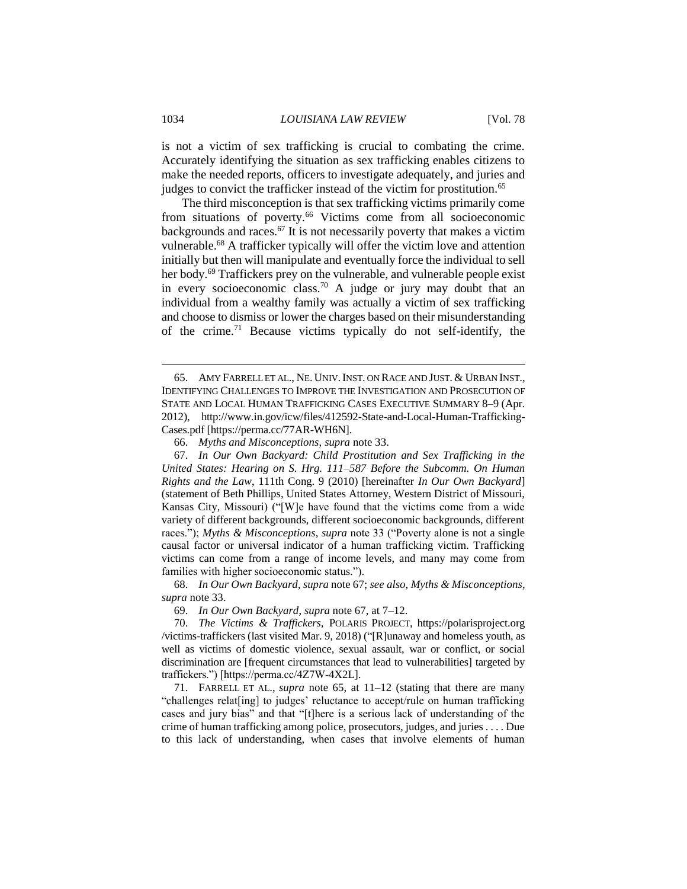is not a victim of sex trafficking is crucial to combating the crime. Accurately identifying the situation as sex trafficking enables citizens to make the needed reports, officers to investigate adequately, and juries and judges to convict the trafficker instead of the victim for prostitution.<sup>65</sup>

The third misconception is that sex trafficking victims primarily come from situations of poverty.<sup>66</sup> Victims come from all socioeconomic backgrounds and races.<sup>67</sup> It is not necessarily poverty that makes a victim vulnerable.<sup>68</sup> A trafficker typically will offer the victim love and attention initially but then will manipulate and eventually force the individual to sell her body.<sup>69</sup> Traffickers prey on the vulnerable, and vulnerable people exist in every socioeconomic class.<sup>70</sup> A judge or jury may doubt that an individual from a wealthy family was actually a victim of sex trafficking and choose to dismiss or lower the charges based on their misunderstanding of the crime.<sup>71</sup> Because victims typically do not self-identify, the

69. *In Our Own Backyard*, *supra* note 67, at 7–12.

<sup>65.</sup> AMY FARRELL ET AL., NE. UNIV.INST. ON RACE AND JUST. & URBAN INST., IDENTIFYING CHALLENGES TO IMPROVE THE INVESTIGATION AND PROSECUTION OF STATE AND LOCAL HUMAN TRAFFICKING CASES EXECUTIVE SUMMARY 8–9 (Apr. 2012), http://www.in.gov/icw/files/412592-State-and-Local-Human-Trafficking-Cases.pdf [https://perma.cc/77AR-WH6N].

<sup>66.</sup> *Myths and Misconceptions*, *supra* note 33.

<sup>67.</sup> *In Our Own Backyard: Child Prostitution and Sex Trafficking in the United States: Hearing on S. Hrg. 111–587 Before the Subcomm. On Human Rights and the Law*, 111th Cong. 9 (2010) [hereinafter *In Our Own Backyard*] (statement of Beth Phillips, United States Attorney, Western District of Missouri, Kansas City, Missouri) ("[W]e have found that the victims come from a wide variety of different backgrounds, different socioeconomic backgrounds, different races."); *Myths & Misconceptions*, *supra* note 33 ("Poverty alone is not a single causal factor or universal indicator of a human trafficking victim. Trafficking victims can come from a range of income levels, and many may come from families with higher socioeconomic status.").

<sup>68.</sup> *In Our Own Backyard*, *supra* note 67; *see also*, *Myths & Misconceptions*, *supra* note 33.

<sup>70.</sup> *The Victims & Traffickers,* POLARIS PROJECT, https://polarisproject.org /victims-traffickers (last visited Mar. 9, 2018) ("[R]unaway and homeless youth, as well as victims of domestic violence, sexual assault, war or conflict, or social discrimination are [frequent circumstances that lead to vulnerabilities] targeted by traffickers.") [https://perma.cc/4Z7W-4X2L].

<sup>71.</sup> FARRELL ET AL., *supra* note 65, at 11–12 (stating that there are many "challenges relat[ing] to judges' reluctance to accept/rule on human trafficking cases and jury bias" and that "[t]here is a serious lack of understanding of the crime of human trafficking among police, prosecutors, judges, and juries . . . . Due to this lack of understanding, when cases that involve elements of human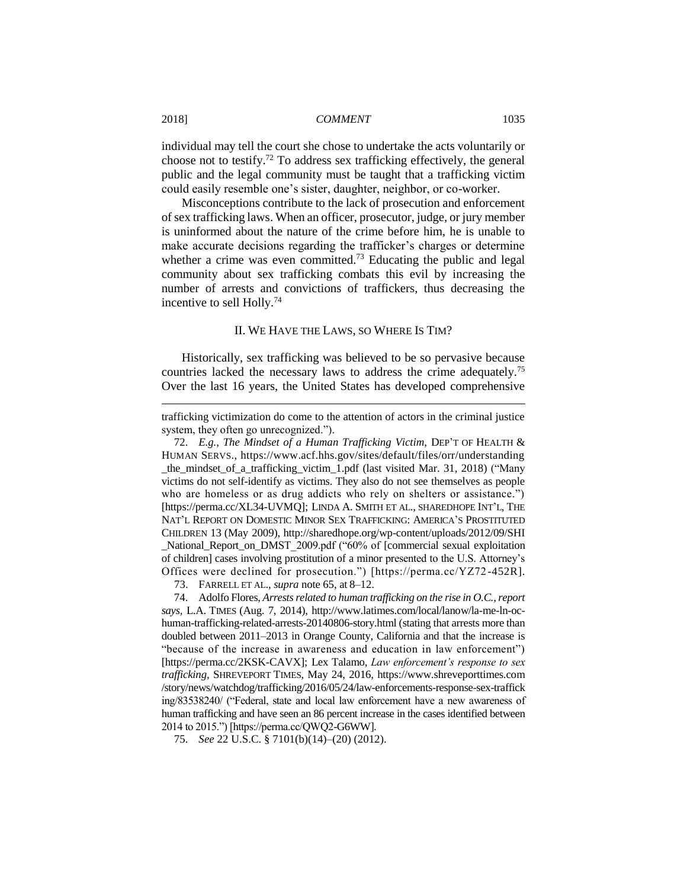individual may tell the court she chose to undertake the acts voluntarily or choose not to testify.<sup>72</sup> To address sex trafficking effectively, the general public and the legal community must be taught that a trafficking victim could easily resemble one's sister, daughter, neighbor, or co-worker.

Misconceptions contribute to the lack of prosecution and enforcement of sex trafficking laws. When an officer, prosecutor, judge, or jury member is uninformed about the nature of the crime before him, he is unable to make accurate decisions regarding the trafficker's charges or determine whether a crime was even committed.<sup>73</sup> Educating the public and legal community about sex trafficking combats this evil by increasing the number of arrests and convictions of traffickers, thus decreasing the incentive to sell Holly.<sup>74</sup>

# II. WE HAVE THE LAWS, SO WHERE IS TIM?

Historically, sex trafficking was believed to be so pervasive because countries lacked the necessary laws to address the crime adequately.<sup>75</sup> Over the last 16 years, the United States has developed comprehensive

73. FARRELL ET AL., *supra* note 65, at 8–12.

74. Adolfo Flores, *Arrests related to human trafficking on the rise in O.C., report says,* L.A. TIMES (Aug. 7, 2014), http://www.latimes.com/local/lanow/la-me-ln-ochuman-trafficking-related-arrests-20140806-story.html (stating that arrests more than doubled between 2011–2013 in Orange County, California and that the increase is "because of the increase in awareness and education in law enforcement") [https://perma.cc/2KSK-CAVX]; Lex Talamo, *Law enforcement's response to sex trafficking,* SHREVEPORT TIMES, May 24, 2016, https://www.shreveporttimes.com /story/news/watchdog/trafficking/2016/05/24/law-enforcements-response-sex-traffick ing/83538240/ ("Federal, state and local law enforcement have a new awareness of human trafficking and have seen an 86 percent increase in the cases identified between 2014 to 2015.") [https://perma.cc/QWQ2-G6WW].

75. *See* 22 U.S.C. § 7101(b)(14)–(20) (2012).

trafficking victimization do come to the attention of actors in the criminal justice system, they often go unrecognized.").

<sup>72.</sup> *E.g.*, *The Mindset of a Human Trafficking Victim*, DEP'T OF HEALTH & HUMAN SERVS., https://www.acf.hhs.gov/sites/default/files/orr/understanding \_the\_mindset\_of\_a\_trafficking\_victim\_1.pdf (last visited Mar. 31, 2018) ("Many victims do not self-identify as victims. They also do not see themselves as people who are homeless or as drug addicts who rely on shelters or assistance.") [https://perma.cc/XL34-UVMQ]; LINDA A. SMITH ET AL., SHAREDHOPE INT'L, THE NAT'L REPORT ON DOMESTIC MINOR SEX TRAFFICKING: AMERICA'S PROSTITUTED CHILDREN 13 (May 2009), http://sharedhope.org/wp-content/uploads/2012/09/SHI \_National\_Report\_on\_DMST\_2009.pdf ("60% of [commercial sexual exploitation of children] cases involving prostitution of a minor presented to the U.S. Attorney's Offices were declined for prosecution.") [https://perma.cc/YZ72 -452R].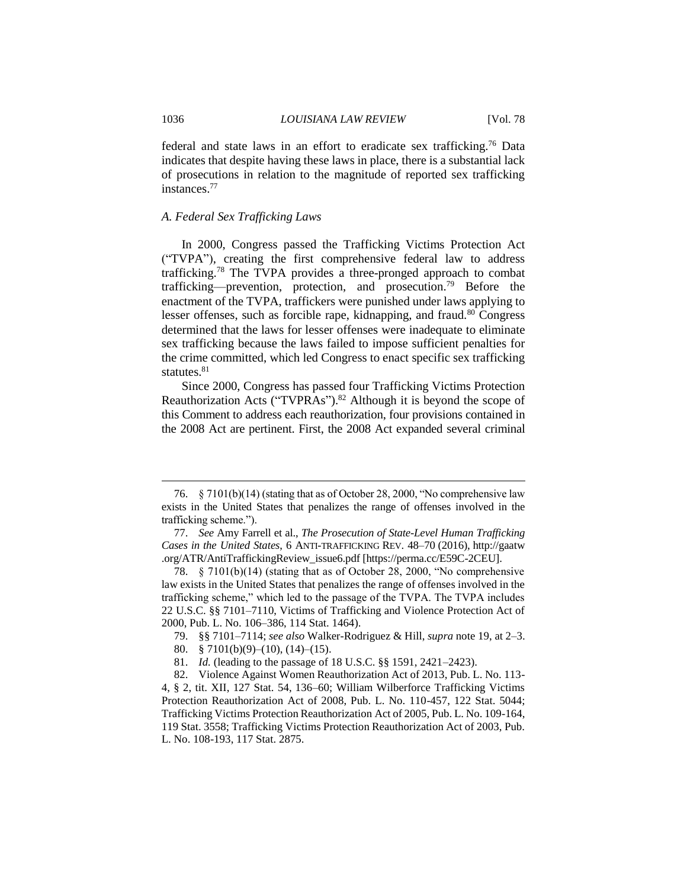federal and state laws in an effort to eradicate sex trafficking.<sup>76</sup> Data indicates that despite having these laws in place, there is a substantial lack of prosecutions in relation to the magnitude of reported sex trafficking instances.<sup>77</sup>

# *A. Federal Sex Trafficking Laws*

In 2000, Congress passed the Trafficking Victims Protection Act ("TVPA"), creating the first comprehensive federal law to address trafficking.<sup>78</sup> The TVPA provides a three-pronged approach to combat trafficking—prevention, protection, and prosecution.<sup>79</sup> Before the enactment of the TVPA, traffickers were punished under laws applying to lesser offenses, such as forcible rape, kidnapping, and fraud.<sup>80</sup> Congress determined that the laws for lesser offenses were inadequate to eliminate sex trafficking because the laws failed to impose sufficient penalties for the crime committed, which led Congress to enact specific sex trafficking statutes.<sup>81</sup>

Since 2000, Congress has passed four Trafficking Victims Protection Reauthorization Acts ("TVPRAs").<sup>82</sup> Although it is beyond the scope of this Comment to address each reauthorization, four provisions contained in the 2008 Act are pertinent. First, the 2008 Act expanded several criminal

<sup>76.</sup> § 7101(b)(14) (stating that as of October 28, 2000, "No comprehensive law exists in the United States that penalizes the range of offenses involved in the trafficking scheme.").

<sup>77.</sup> *See* Amy Farrell et al., *The Prosecution of State-Level Human Trafficking Cases in the United States*, 6 ANTI-TRAFFICKING REV. 48–70 (2016), http://gaatw .org/ATR/AntiTraffickingReview\_issue6.pdf [https://perma.cc/E59C-2CEU].

<sup>78.</sup> § 7101(b)(14) (stating that as of October 28, 2000, "No comprehensive law exists in the United States that penalizes the range of offenses involved in the trafficking scheme," which led to the passage of the TVPA. The TVPA includes 22 U.S.C. §§ 7101–7110, Victims of Trafficking and Violence Protection Act of 2000, Pub. L. No. 106–386, 114 Stat. 1464).

<sup>79.</sup> §§ 7101–7114; *see also* Walker-Rodriguez & Hill, *supra* note 19, at 2–3.

<sup>80.</sup> § 7101(b)(9)–(10), (14)–(15).

<sup>81.</sup> *Id.* (leading to the passage of 18 U.S.C. §§ 1591, 2421–2423).

<sup>82.</sup> Violence Against Women Reauthorization Act of 2013, Pub. L. No. 113- 4, § 2, tit. XII, 127 Stat. 54, 136–60; William Wilberforce Trafficking Victims Protection Reauthorization Act of 2008, Pub. L. No. 110-457, 122 Stat. 5044; Trafficking Victims Protection Reauthorization Act of 2005, Pub. L. No. 109-164, 119 Stat. 3558; Trafficking Victims Protection Reauthorization Act of 2003, Pub. L. No. 108-193, 117 Stat. 2875.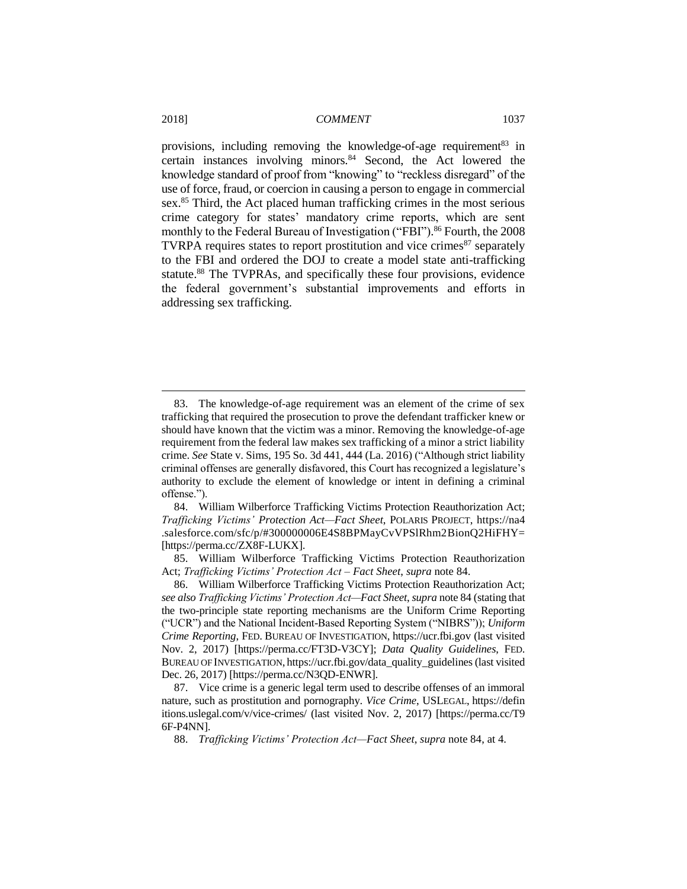provisions, including removing the knowledge-of-age requirement<sup>83</sup> in certain instances involving minors.<sup>84</sup> Second, the Act lowered the knowledge standard of proof from "knowing" to "reckless disregard" of the use of force, fraud, or coercion in causing a person to engage in commercial sex.<sup>85</sup> Third, the Act placed human trafficking crimes in the most serious crime category for states' mandatory crime reports, which are sent monthly to the Federal Bureau of Investigation ("FBI"). <sup>86</sup> Fourth, the 2008 TVRPA requires states to report prostitution and vice crimes $^{87}$  separately to the FBI and ordered the DOJ to create a model state anti-trafficking statute.<sup>88</sup> The TVPRAs, and specifically these four provisions, evidence the federal government's substantial improvements and efforts in addressing sex trafficking.

<sup>83.</sup> The knowledge-of-age requirement was an element of the crime of sex trafficking that required the prosecution to prove the defendant trafficker knew or should have known that the victim was a minor. Removing the knowledge-of-age requirement from the federal law makes sex trafficking of a minor a strict liability crime. *See* State v. Sims, 195 So. 3d 441, 444 (La. 2016) ("Although strict liability criminal offenses are generally disfavored, this Court has recognized a legislature's authority to exclude the element of knowledge or intent in defining a criminal offense.").

<sup>84.</sup> William Wilberforce Trafficking Victims Protection Reauthorization Act; *Trafficking Victims' Protection Act—Fact Sheet*, POLARIS PROJECT, https://na4 .salesforce.com/sfc/p/#300000006E4S8BPMayCvVPSlRhm2BionQ2HiFHY= [https://perma.cc/ZX8F-LUKX].

<sup>85.</sup> William Wilberforce Trafficking Victims Protection Reauthorization Act; *Trafficking Victims' Protection Act – Fact Sheet*, *supra* note 84.

<sup>86.</sup> William Wilberforce Trafficking Victims Protection Reauthorization Act; *see also Trafficking Victims' Protection Act—Fact Sheet*, *supra* note 84 (stating that the two-principle state reporting mechanisms are the Uniform Crime Reporting ("UCR") and the National Incident-Based Reporting System ("NIBRS")); *Uniform Crime Reporting*, FED. BUREAU OF INVESTIGATION, https://ucr.fbi.gov (last visited Nov. 2, 2017) [https://perma.cc/FT3D-V3CY]; *Data Quality Guidelines*, FED. BUREAU OF INVESTIGATION, https://ucr.fbi.gov/data\_quality\_guidelines (last visited Dec. 26, 2017) [https://perma.cc/N3QD-ENWR].

<sup>87.</sup> Vice crime is a generic legal term used to describe offenses of an immoral nature, such as prostitution and pornography. *Vice Crime*, USLEGAL, https://defin itions.uslegal.com/v/vice-crimes/ (last visited Nov. 2, 2017) [https://perma.cc/T9 6F-P4NN].

<sup>88.</sup> *Trafficking Victims' Protection Act—Fact Sheet*, *supra* note 84, at 4.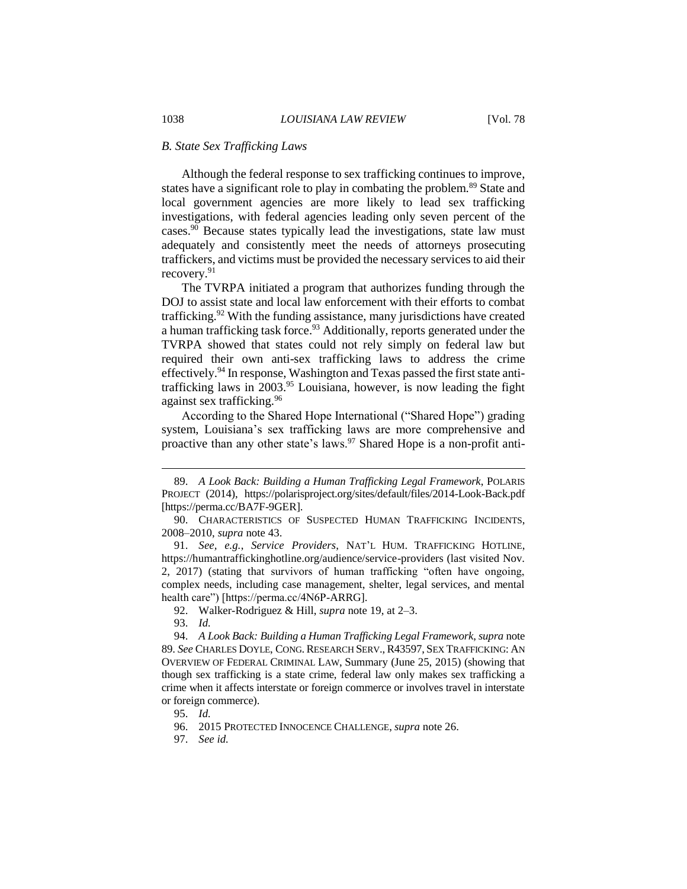#### *B. State Sex Trafficking Laws*

Although the federal response to sex trafficking continues to improve, states have a significant role to play in combating the problem.<sup>89</sup> State and local government agencies are more likely to lead sex trafficking investigations, with federal agencies leading only seven percent of the cases.<sup>90</sup> Because states typically lead the investigations, state law must adequately and consistently meet the needs of attorneys prosecuting traffickers, and victims must be provided the necessary services to aid their recovery. 91

The TVRPA initiated a program that authorizes funding through the DOJ to assist state and local law enforcement with their efforts to combat trafficking.<sup>92</sup> With the funding assistance, many jurisdictions have created a human trafficking task force.<sup>93</sup> Additionally, reports generated under the TVRPA showed that states could not rely simply on federal law but required their own anti-sex trafficking laws to address the crime effectively.<sup>94</sup> In response, Washington and Texas passed the first state antitrafficking laws in  $2003$ .<sup>95</sup> Louisiana, however, is now leading the fight against sex trafficking.<sup>96</sup>

According to the Shared Hope International ("Shared Hope") grading system, Louisiana's sex trafficking laws are more comprehensive and proactive than any other state's laws.<sup>97</sup> Shared Hope is a non-profit anti-

<sup>89.</sup> *A Look Back: Building a Human Trafficking Legal Framework*, POLARIS PROJECT (2014), https://polarisproject.org/sites/default/files/2014-Look-Back.pdf [https://perma.cc/BA7F-9GER].

<sup>90.</sup> CHARACTERISTICS OF SUSPECTED HUMAN TRAFFICKING INCIDENTS, 2008–2010, *supra* note 43.

<sup>91.</sup> *See, e.g.*, *Service Providers*, NAT'L HUM. TRAFFICKING HOTLINE, https://humantraffickinghotline.org/audience/service-providers (last visited Nov. 2, 2017) (stating that survivors of human trafficking "often have ongoing, complex needs, including case management, shelter, legal services, and mental health care") [https://perma.cc/4N6P-ARRG].

<sup>92.</sup> Walker-Rodriguez & Hill, *supra* note 19, at 2–3.

<sup>93.</sup> *Id.*

<sup>94.</sup> *A Look Back: Building a Human Trafficking Legal Framework*, *supra* note 89. *See* CHARLES DOYLE, CONG. RESEARCH SERV., R43597, SEX TRAFFICKING: AN OVERVIEW OF FEDERAL CRIMINAL LAW, Summary (June 25, 2015) (showing that though sex trafficking is a state crime, federal law only makes sex trafficking a crime when it affects interstate or foreign commerce or involves travel in interstate or foreign commerce).

<sup>95.</sup> *Id.*

<sup>96.</sup> 2015 PROTECTED INNOCENCE CHALLENGE, *supra* note 26.

<sup>97.</sup> *See id.*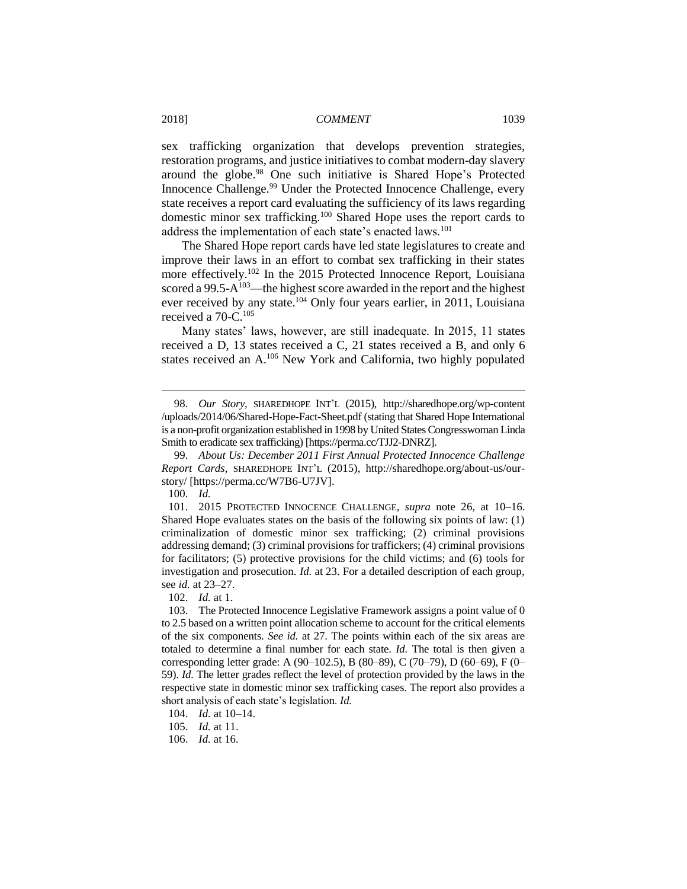sex trafficking organization that develops prevention strategies, restoration programs, and justice initiatives to combat modern-day slavery around the globe.<sup>98</sup> One such initiative is Shared Hope's Protected Innocence Challenge.<sup>99</sup> Under the Protected Innocence Challenge, every state receives a report card evaluating the sufficiency of its laws regarding domestic minor sex trafficking.<sup>100</sup> Shared Hope uses the report cards to address the implementation of each state's enacted laws.<sup>101</sup>

The Shared Hope report cards have led state legislatures to create and improve their laws in an effort to combat sex trafficking in their states more effectively.<sup>102</sup> In the 2015 Protected Innocence Report, Louisiana scored a 99.5- $A^{103}$ —the highest score awarded in the report and the highest ever received by any state.<sup>104</sup> Only four years earlier, in 2011, Louisiana received a 70-C.<sup>105</sup>

Many states' laws, however, are still inadequate. In 2015, 11 states received a D, 13 states received a C, 21 states received a B, and only 6 states received an A.<sup>106</sup> New York and California, two highly populated

100. *Id.*

 $\overline{a}$ 

101. 2015 PROTECTED INNOCENCE CHALLENGE, *supra* note 26, at 10–16. Shared Hope evaluates states on the basis of the following six points of law: (1) criminalization of domestic minor sex trafficking; (2) criminal provisions addressing demand; (3) criminal provisions for traffickers; (4) criminal provisions for facilitators; (5) protective provisions for the child victims; and (6) tools for investigation and prosecution. *Id.* at 23. For a detailed description of each group, see *id.* at 23–27.

<sup>98.</sup> *Our Story*, SHAREDHOPE INT'L (2015), http://sharedhope.org/wp-content /uploads/2014/06/Shared-Hope-Fact-Sheet.pdf (stating that Shared Hope International is a non-profit organization established in 1998 by United States Congresswoman Linda Smith to eradicate sex trafficking) [https://perma.cc/TJJ2-DNRZ].

<sup>99.</sup> *About Us: December 2011 First Annual Protected Innocence Challenge Report Cards*, SHAREDHOPE INT'L (2015), http://sharedhope.org/about-us/ourstory/ [https://perma.cc/W7B6-U7JV].

<sup>102.</sup> *Id.* at 1.

<sup>103.</sup> The Protected Innocence Legislative Framework assigns a point value of 0 to 2.5 based on a written point allocation scheme to account for the critical elements of the six components. *See id.* at 27. The points within each of the six areas are totaled to determine a final number for each state. *Id.* The total is then given a corresponding letter grade: A (90–102.5), B (80–89), C (70–79), D (60–69), F (0– 59). *Id.* The letter grades reflect the level of protection provided by the laws in the respective state in domestic minor sex trafficking cases. The report also provides a short analysis of each state's legislation. *Id.*

<sup>104.</sup> *Id.* at 10–14.

<sup>105.</sup> *Id.* at 11.

<sup>106.</sup> *Id.* at 16.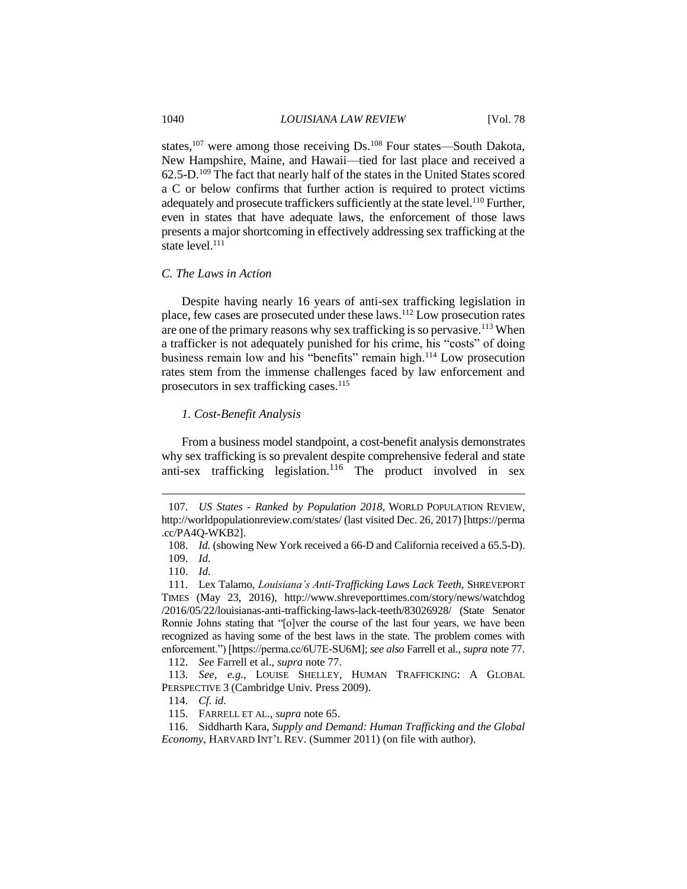states,<sup>107</sup> were among those receiving Ds.<sup>108</sup> Four states—South Dakota, New Hampshire, Maine, and Hawaii—tied for last place and received a 62.5-D.<sup>109</sup> The fact that nearly half of the states in the United States scored a C or below confirms that further action is required to protect victims adequately and prosecute traffickers sufficiently at the state level.<sup>110</sup> Further, even in states that have adequate laws, the enforcement of those laws presents a major shortcoming in effectively addressing sex trafficking at the state level. $^{111}$ 

#### *C. The Laws in Action*

Despite having nearly 16 years of anti-sex trafficking legislation in place, few cases are prosecuted under these laws.<sup>112</sup> Low prosecution rates are one of the primary reasons why sex trafficking is so pervasive.<sup>113</sup> When a trafficker is not adequately punished for his crime, his "costs" of doing business remain low and his "benefits" remain high.<sup>114</sup> Low prosecution rates stem from the immense challenges faced by law enforcement and prosecutors in sex trafficking cases.<sup>115</sup>

#### *1. Cost-Benefit Analysis*

From a business model standpoint, a cost-benefit analysis demonstrates why sex trafficking is so prevalent despite comprehensive federal and state anti-sex trafficking legislation.<sup>116</sup> The product involved in sex

<sup>107.</sup> *US States - Ranked by Population 2018*, WORLD POPULATION REVIEW, http://worldpopulationreview.com/states/ (last visited Dec. 26, 2017) [https://perma .cc/PA4Q-WKB2].

<sup>108.</sup> *Id.* (showing New York received a 66-D and California received a 65.5-D).

<sup>109.</sup> *Id.*

<sup>110.</sup> *Id.*

<sup>111.</sup> Lex Talamo, *Louisiana's Anti-Trafficking Laws Lack Teeth*, SHREVEPORT TIMES (May 23, 2016), http://www.shreveporttimes.com/story/news/watchdog /2016/05/22/louisianas-anti-trafficking-laws-lack-teeth/83026928/ (State Senator Ronnie Johns stating that "[o]ver the course of the last four years, we have been recognized as having some of the best laws in the state. The problem comes with enforcement.") [https://perma.cc/6U7E-SU6M]; *see also* Farrell et al., *supra* note 77.

<sup>112.</sup> *See* Farrell et al., *supra* note 77.

<sup>113.</sup> *See, e.g.*, LOUISE SHELLEY, HUMAN TRAFFICKING: A GLOBAL PERSPECTIVE 3 (Cambridge Univ. Press 2009).

<sup>114.</sup> *Cf. id.*

<sup>115.</sup> FARRELL ET AL., *supra* note 65.

<sup>116.</sup> Siddharth Kara, *Supply and Demand: Human Trafficking and the Global Economy*, HARVARD INT'L REV. (Summer 2011) (on file with author).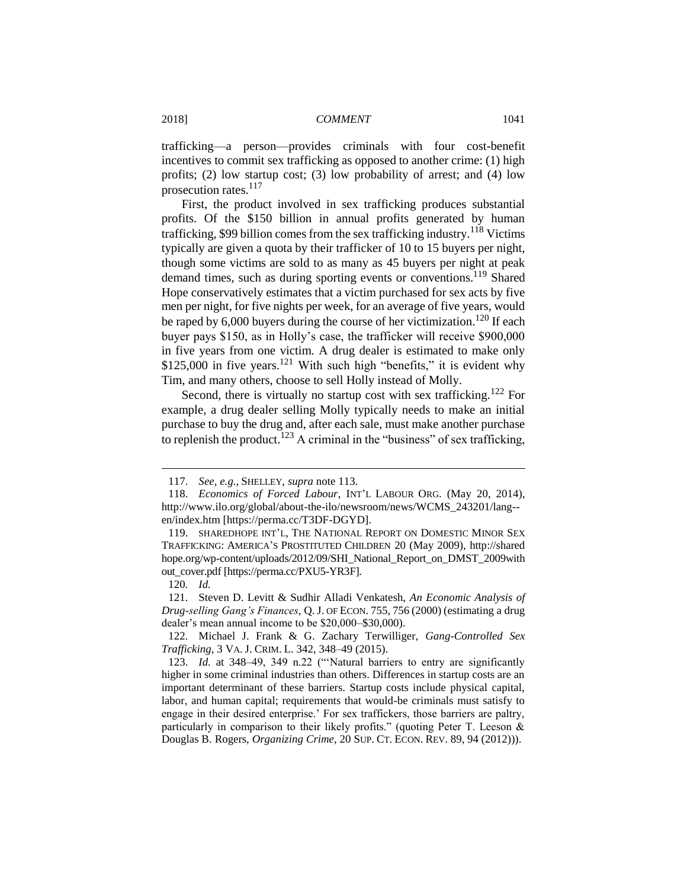trafficking—a person—provides criminals with four cost-benefit incentives to commit sex trafficking as opposed to another crime: (1) high profits; (2) low startup cost; (3) low probability of arrest; and (4) low prosecution rates.<sup>117</sup>

First, the product involved in sex trafficking produces substantial profits. Of the \$150 billion in annual profits generated by human trafficking, \$99 billion comes from the sex trafficking industry.<sup>118</sup> Victims typically are given a quota by their trafficker of 10 to 15 buyers per night, though some victims are sold to as many as 45 buyers per night at peak demand times, such as during sporting events or conventions.<sup>119</sup> Shared Hope conservatively estimates that a victim purchased for sex acts by five men per night, for five nights per week, for an average of five years, would be raped by  $6,000$  buyers during the course of her victimization.<sup>120</sup> If each buyer pays \$150, as in Holly's case, the trafficker will receive \$900,000 in five years from one victim. A drug dealer is estimated to make only \$125,000 in five years.<sup>121</sup> With such high "benefits," it is evident why Tim, and many others, choose to sell Holly instead of Molly.

Second, there is virtually no startup cost with sex trafficking.<sup>122</sup> For example, a drug dealer selling Molly typically needs to make an initial purchase to buy the drug and, after each sale, must make another purchase to replenish the product.<sup>123</sup> A criminal in the "business" of sex trafficking,

<sup>117.</sup> *See, e.g.*, SHELLEY, *supra* note 113.

<sup>118.</sup> *Economics of Forced Labour*, INT'L LABOUR ORG. (May 20, 2014), http://www.ilo.org/global/about-the-ilo/newsroom/news/WCMS\_243201/lang- en/index.htm [https://perma.cc/T3DF-DGYD].

<sup>119.</sup> SHAREDHOPE INT'L, THE NATIONAL REPORT ON DOMESTIC MINOR SEX TRAFFICKING: AMERICA'S PROSTITUTED CHILDREN 20 (May 2009), http://shared hope.org/wp-content/uploads/2012/09/SHI\_National\_Report\_on\_DMST\_2009with out\_cover.pdf [https://perma.cc/PXU5-YR3F].

<sup>120</sup>*. Id.*

<sup>121.</sup> Steven D. Levitt & Sudhir Alladi Venkatesh, *An Economic Analysis of Drug-selling Gang's Finances*, Q. J. OF ECON. 755, 756 (2000) (estimating a drug dealer's mean annual income to be \$20,000–\$30,000).

<sup>122.</sup> Michael J. Frank & G. Zachary Terwilliger, *Gang-Controlled Sex Trafficking*, 3 VA. J. CRIM. L. 342, 348–49 (2015).

<sup>123.</sup> *Id.* at 348–49, 349 n.22 ("'Natural barriers to entry are significantly higher in some criminal industries than others. Differences in startup costs are an important determinant of these barriers. Startup costs include physical capital, labor, and human capital; requirements that would-be criminals must satisfy to engage in their desired enterprise.' For sex traffickers, those barriers are paltry, particularly in comparison to their likely profits." (quoting Peter T. Leeson  $\&$ Douglas B. Rogers, *Organizing Crime*, 20 SUP. CT. ECON. REV. 89, 94 (2012))).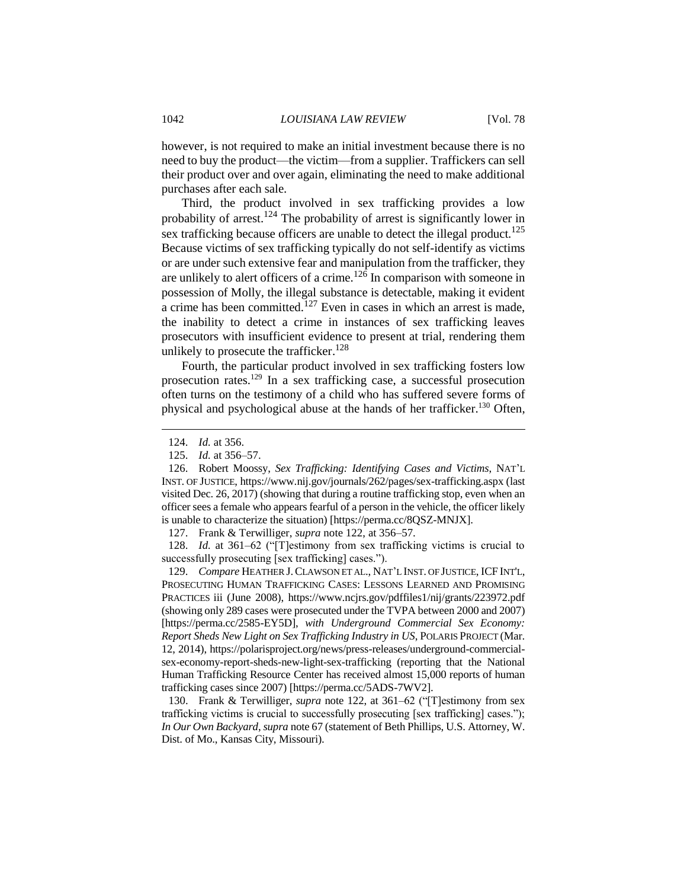however, is not required to make an initial investment because there is no need to buy the product—the victim—from a supplier. Traffickers can sell their product over and over again, eliminating the need to make additional purchases after each sale.

Third, the product involved in sex trafficking provides a low probability of arrest.<sup>124</sup> The probability of arrest is significantly lower in sex trafficking because officers are unable to detect the illegal product.<sup>125</sup> Because victims of sex trafficking typically do not self-identify as victims or are under such extensive fear and manipulation from the trafficker, they are unlikely to alert officers of a crime.<sup>126</sup> In comparison with someone in possession of Molly, the illegal substance is detectable, making it evident a crime has been committed.<sup>127</sup> Even in cases in which an arrest is made, the inability to detect a crime in instances of sex trafficking leaves prosecutors with insufficient evidence to present at trial, rendering them unlikely to prosecute the trafficker.<sup>128</sup>

Fourth, the particular product involved in sex trafficking fosters low prosecution rates.<sup>129</sup> In a sex trafficking case, a successful prosecution often turns on the testimony of a child who has suffered severe forms of physical and psychological abuse at the hands of her trafficker.<sup>130</sup> Often,

 $\overline{a}$ 

127. Frank & Terwilliger, *supra* note 122, at 356–57.

128. *Id.* at 361–62 ("[T]estimony from sex trafficking victims is crucial to successfully prosecuting [sex trafficking] cases.").

129. *Compare* HEATHER J.CLAWSON ET AL., NAT'L INST. OF JUSTICE, ICF INT'L, PROSECUTING HUMAN TRAFFICKING CASES: LESSONS LEARNED AND PROMISING PRACTICES iii (June 2008), https://www.ncjrs.gov/pdffiles1/nij/grants/223972.pdf (showing only 289 cases were prosecuted under the TVPA between 2000 and 2007) [https://perma.cc/2585-EY5D], *with Underground Commercial Sex Economy: Report Sheds New Light on Sex Trafficking Industry in US*, POLARIS PROJECT (Mar. 12, 2014), https://polarisproject.org/news/press-releases/underground-commercialsex-economy-report-sheds-new-light-sex-trafficking (reporting that the National Human Trafficking Resource Center has received almost 15,000 reports of human trafficking cases since 2007) [https://perma.cc/5ADS-7WV2].

130. Frank & Terwilliger, *supra* note 122, at 361–62 ("[T]estimony from sex trafficking victims is crucial to successfully prosecuting [sex trafficking] cases."); *In Our Own Backyard*, *supra* note 67 (statement of Beth Phillips, U.S. Attorney, W. Dist. of Mo., Kansas City, Missouri).

<sup>124.</sup> *Id.* at 356.

<sup>125.</sup> *Id.* at 356–57.

<sup>126.</sup> Robert Moossy, *Sex Trafficking: Identifying Cases and Victims*, NAT'L INST. OF JUSTICE, https://www.nij.gov/journals/262/pages/sex-trafficking.aspx (last visited Dec. 26, 2017) (showing that during a routine trafficking stop, even when an officer sees a female who appears fearful of a person in the vehicle, the officer likely is unable to characterize the situation) [https://perma.cc/8QSZ-MNJX].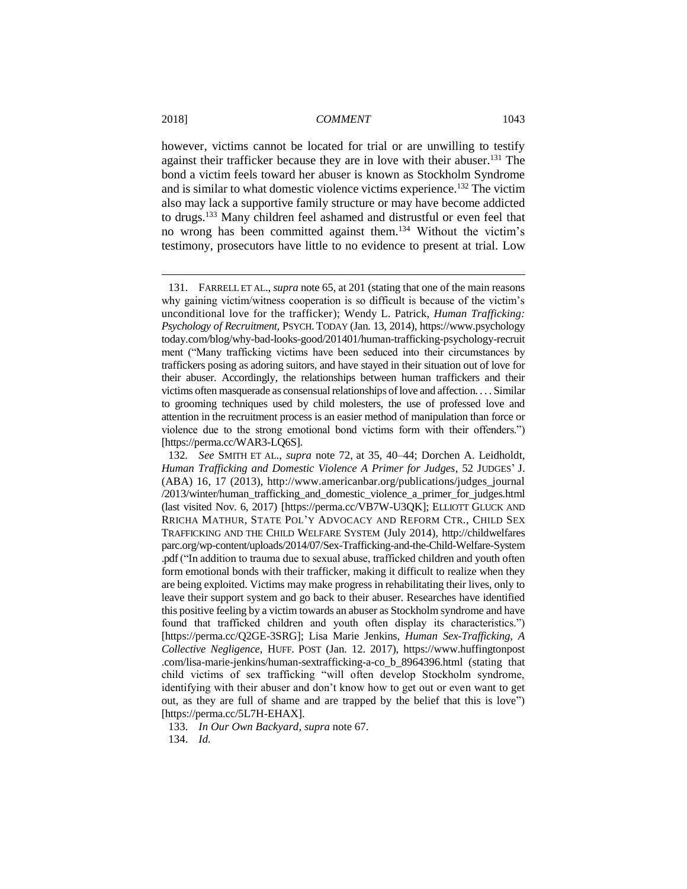however, victims cannot be located for trial or are unwilling to testify against their trafficker because they are in love with their abuser.<sup>131</sup> The bond a victim feels toward her abuser is known as Stockholm Syndrome and is similar to what domestic violence victims experience.<sup>132</sup> The victim also may lack a supportive family structure or may have become addicted to drugs.<sup>133</sup> Many children feel ashamed and distrustful or even feel that no wrong has been committed against them. <sup>134</sup> Without the victim's testimony, prosecutors have little to no evidence to present at trial. Low

133. *In Our Own Backyard*, *supra* note 67.

134. *Id.*

<sup>131.</sup> FARRELL ET AL., *supra* note 65, at 201 (stating that one of the main reasons why gaining victim/witness cooperation is so difficult is because of the victim's unconditional love for the trafficker); Wendy L. Patrick, *Human Trafficking: Psychology of Recruitment,* PSYCH. TODAY (Jan. 13, 2014), https://www.psychology today.com/blog/why-bad-looks-good/201401/human-trafficking-psychology-recruit ment ("Many trafficking victims have been seduced into their circumstances by traffickers posing as adoring suitors, and have stayed in their situation out of love for their abuser. Accordingly, the relationships between human traffickers and their victims often masquerade as consensual relationships of love and affection. . . . Similar to grooming techniques used by child molesters, the use of professed love and attention in the recruitment process is an easier method of manipulation than force or violence due to the strong emotional bond victims form with their offenders.") [https://perma.cc/WAR3-LQ6S].

<sup>132</sup>*. See* SMITH ET AL., *supra* note 72, at 35, 40–44; Dorchen A. Leidholdt, *Human Trafficking and Domestic Violence A Primer for Judges*, 52 JUDGES' J. (ABA) 16, 17 (2013), http://www.americanbar.org/publications/judges\_journal /2013/winter/human\_trafficking\_and\_domestic\_violence\_a\_primer\_for\_judges.html (last visited Nov. 6, 2017) [https://perma.cc/VB7W-U3QK]; ELLIOTT GLUCK AND RRICHA MATHUR, STATE POL'Y ADVOCACY AND REFORM CTR., CHILD SEX TRAFFICKING AND THE CHILD WELFARE SYSTEM (July 2014), http://childwelfares parc.org/wp-content/uploads/2014/07/Sex-Trafficking-and-the-Child-Welfare-System .pdf ("In addition to trauma due to sexual abuse, trafficked children and youth often form emotional bonds with their trafficker, making it difficult to realize when they are being exploited. Victims may make progress in rehabilitating their lives, only to leave their support system and go back to their abuser. Researches have identified this positive feeling by a victim towards an abuser as Stockholm syndrome and have found that trafficked children and youth often display its characteristics.") [https://perma.cc/Q2GE-3SRG]; Lisa Marie Jenkins, *Human Sex-Trafficking, A Collective Negligence*, HUFF. POST (Jan. 12. 2017), https://www.huffingtonpost .com/lisa-marie-jenkins/human-sextrafficking-a-co\_b\_8964396.html (stating that child victims of sex trafficking "will often develop Stockholm syndrome, identifying with their abuser and don't know how to get out or even want to get out, as they are full of shame and are trapped by the belief that this is love") [https://perma.cc/5L7H-EHAX].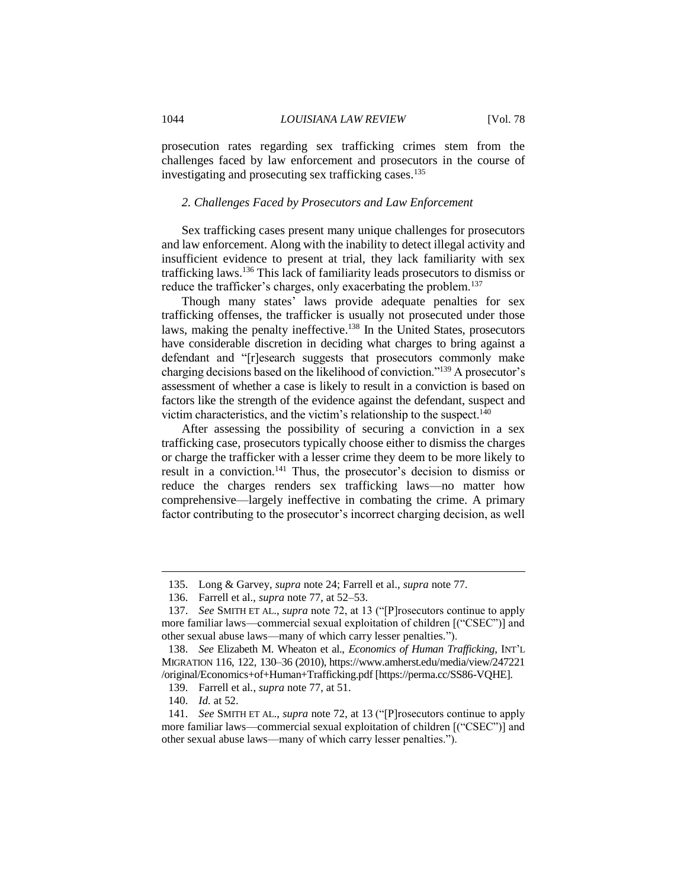prosecution rates regarding sex trafficking crimes stem from the challenges faced by law enforcement and prosecutors in the course of investigating and prosecuting sex trafficking cases.<sup>135</sup>

# *2. Challenges Faced by Prosecutors and Law Enforcement*

Sex trafficking cases present many unique challenges for prosecutors and law enforcement. Along with the inability to detect illegal activity and insufficient evidence to present at trial, they lack familiarity with sex trafficking laws.<sup>136</sup> This lack of familiarity leads prosecutors to dismiss or reduce the trafficker's charges, only exacerbating the problem.<sup>137</sup>

Though many states' laws provide adequate penalties for sex trafficking offenses, the trafficker is usually not prosecuted under those laws, making the penalty ineffective.<sup>138</sup> In the United States, prosecutors have considerable discretion in deciding what charges to bring against a defendant and "[r]esearch suggests that prosecutors commonly make charging decisions based on the likelihood of conviction."<sup>139</sup> A prosecutor's assessment of whether a case is likely to result in a conviction is based on factors like the strength of the evidence against the defendant, suspect and victim characteristics, and the victim's relationship to the suspect.<sup>140</sup>

After assessing the possibility of securing a conviction in a sex trafficking case, prosecutors typically choose either to dismiss the charges or charge the trafficker with a lesser crime they deem to be more likely to result in a conviction.<sup>141</sup> Thus, the prosecutor's decision to dismiss or reduce the charges renders sex trafficking laws—no matter how comprehensive—largely ineffective in combating the crime. A primary factor contributing to the prosecutor's incorrect charging decision, as well

<sup>135.</sup> Long & Garvey, *supra* note 24; Farrell et al., *supra* note 77.

<sup>136.</sup> Farrell et al., *supra* note 77, at 52–53.

<sup>137.</sup> *See* SMITH ET AL., *supra* note 72, at 13 ("[P]rosecutors continue to apply more familiar laws—commercial sexual exploitation of children [("CSEC")] and other sexual abuse laws—many of which carry lesser penalties.").

<sup>138.</sup> *See* Elizabeth M. Wheaton et al., *Economics of Human Trafficking*, INT'L MIGRATION 116, 122, 130–36 (2010), https://www.amherst.edu/media/view/247221 /original/Economics+of+Human+Trafficking.pdf [https://perma.cc/SS86-VQHE].

<sup>139.</sup> Farrell et al*.*, *supra* note 77, at 51.

<sup>140.</sup> *Id.* at 52.

<sup>141.</sup> *See* SMITH ET AL., *supra* note 72, at 13 ("[P]rosecutors continue to apply more familiar laws—commercial sexual exploitation of children [("CSEC")] and other sexual abuse laws—many of which carry lesser penalties.").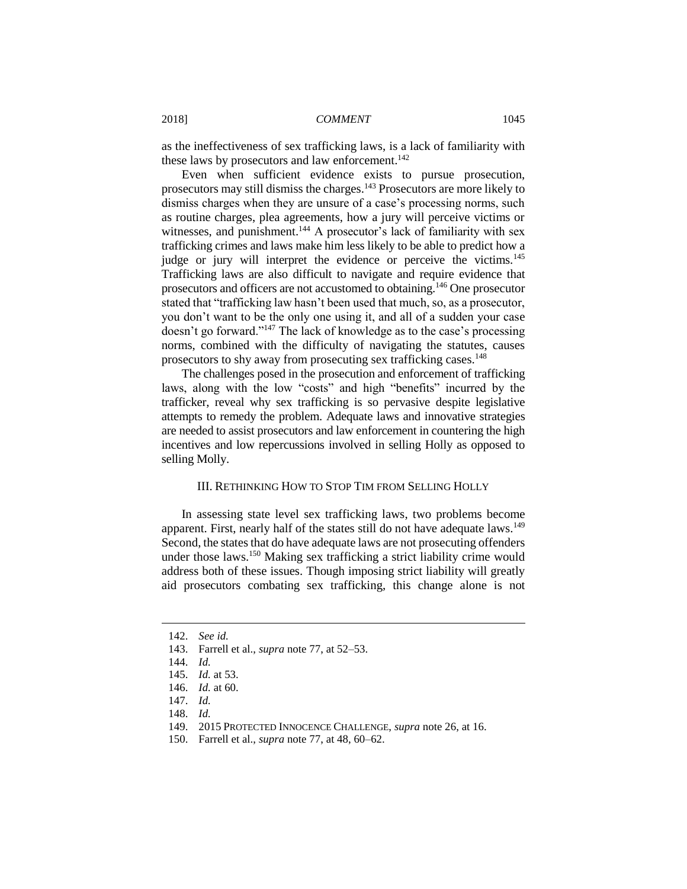as the ineffectiveness of sex trafficking laws, is a lack of familiarity with these laws by prosecutors and law enforcement.<sup>142</sup>

Even when sufficient evidence exists to pursue prosecution, prosecutors may still dismiss the charges.<sup>143</sup> Prosecutors are more likely to dismiss charges when they are unsure of a case's processing norms, such as routine charges, plea agreements, how a jury will perceive victims or witnesses, and punishment.<sup>144</sup> A prosecutor's lack of familiarity with sex trafficking crimes and laws make him less likely to be able to predict how a judge or jury will interpret the evidence or perceive the victims.<sup>145</sup> Trafficking laws are also difficult to navigate and require evidence that prosecutors and officers are not accustomed to obtaining.<sup>146</sup> One prosecutor stated that "trafficking law hasn't been used that much, so, as a prosecutor, you don't want to be the only one using it, and all of a sudden your case doesn't go forward."<sup>147</sup> The lack of knowledge as to the case's processing norms, combined with the difficulty of navigating the statutes, causes prosecutors to shy away from prosecuting sex trafficking cases.<sup>148</sup>

The challenges posed in the prosecution and enforcement of trafficking laws, along with the low "costs" and high "benefits" incurred by the trafficker, reveal why sex trafficking is so pervasive despite legislative attempts to remedy the problem. Adequate laws and innovative strategies are needed to assist prosecutors and law enforcement in countering the high incentives and low repercussions involved in selling Holly as opposed to selling Molly.

# III. RETHINKING HOW TO STOP TIM FROM SELLING HOLLY

In assessing state level sex trafficking laws, two problems become apparent. First, nearly half of the states still do not have adequate laws.<sup>149</sup> Second, the states that do have adequate laws are not prosecuting offenders under those laws.<sup>150</sup> Making sex trafficking a strict liability crime would address both of these issues. Though imposing strict liability will greatly aid prosecutors combating sex trafficking, this change alone is not

<sup>142.</sup> *See id.*

<sup>143.</sup> Farrell et al., *supra* note 77, at 52–53.

<sup>144.</sup> *Id.*

<sup>145.</sup> *Id.* at 53.

<sup>146.</sup> *Id.* at 60.

<sup>147.</sup> *Id.*

<sup>148.</sup> *Id.*

<sup>149.</sup> 2015 PROTECTED INNOCENCE CHALLENGE, *supra* note 26, at 16.

<sup>150.</sup> Farrell et al., *supra* note 77, at 48, 60–62.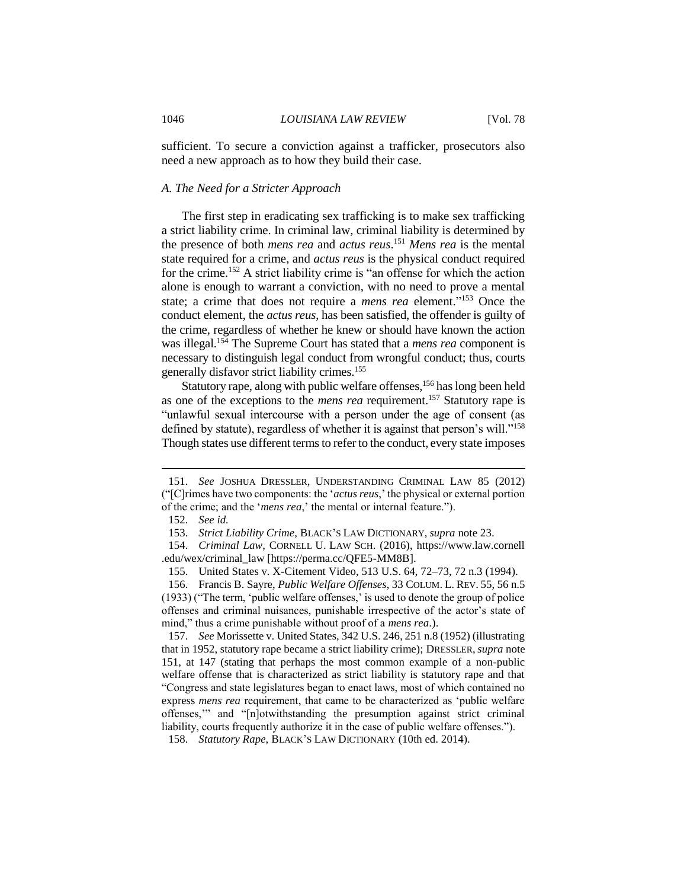sufficient. To secure a conviction against a trafficker, prosecutors also need a new approach as to how they build their case.

#### *A. The Need for a Stricter Approach*

The first step in eradicating sex trafficking is to make sex trafficking a strict liability crime. In criminal law, criminal liability is determined by the presence of both *mens rea* and *actus reus*. <sup>151</sup> *Mens rea* is the mental state required for a crime, and *actus reus* is the physical conduct required for the crime.<sup>152</sup> A strict liability crime is "an offense for which the action alone is enough to warrant a conviction, with no need to prove a mental state; a crime that does not require a *mens rea* element." <sup>153</sup> Once the conduct element, the *actus reus*, has been satisfied, the offender is guilty of the crime, regardless of whether he knew or should have known the action was illegal.<sup>154</sup> The Supreme Court has stated that a *mens rea* component is necessary to distinguish legal conduct from wrongful conduct; thus, courts generally disfavor strict liability crimes.<sup>155</sup>

Statutory rape, along with public welfare offenses,<sup>156</sup> has long been held as one of the exceptions to the *mens rea* requirement.<sup>157</sup> Statutory rape is "unlawful sexual intercourse with a person under the age of consent (as defined by statute), regardless of whether it is against that person's will."<sup>158</sup> Though states use different terms to refer to the conduct, every state imposes

 $\overline{a}$ 

157. *See* Morissette v. United States, 342 U.S. 246, 251 n.8 (1952) (illustrating that in 1952, statutory rape became a strict liability crime); DRESSLER, *supra* note 151, at 147 (stating that perhaps the most common example of a non-public welfare offense that is characterized as strict liability is statutory rape and that "Congress and state legislatures began to enact laws, most of which contained no express *mens rea* requirement, that came to be characterized as 'public welfare offenses,'" and "[n]otwithstanding the presumption against strict criminal liability, courts frequently authorize it in the case of public welfare offenses.").

<sup>151.</sup> *See* JOSHUA DRESSLER, UNDERSTANDING CRIMINAL LAW 85 (2012) ("[C]rimes have two components: the '*actus reus*,' the physical or external portion of the crime; and the '*mens rea*,' the mental or internal feature.").

<sup>152.</sup> *See id.*

<sup>153.</sup> *Strict Liability Crime*, BLACK'S LAW DICTIONARY, *supra* note 23.

<sup>154.</sup> *Criminal Law*, CORNELL U. LAW SCH. (2016), https://www.law.cornell .edu/wex/criminal\_law [https://perma.cc/QFE5-MM8B].

<sup>155.</sup> United States v. X-Citement Video, 513 U.S. 64, 72–73, 72 n.3 (1994).

<sup>156.</sup> Francis B. Sayre, *Public Welfare Offenses*, 33 COLUM. L. REV. 55, 56 n.5 (1933) ("The term, 'public welfare offenses,' is used to denote the group of police offenses and criminal nuisances, punishable irrespective of the actor's state of mind," thus a crime punishable without proof of a *mens rea*.).

<sup>158.</sup> *Statutory Rape*, BLACK'S LAW DICTIONARY (10th ed. 2014).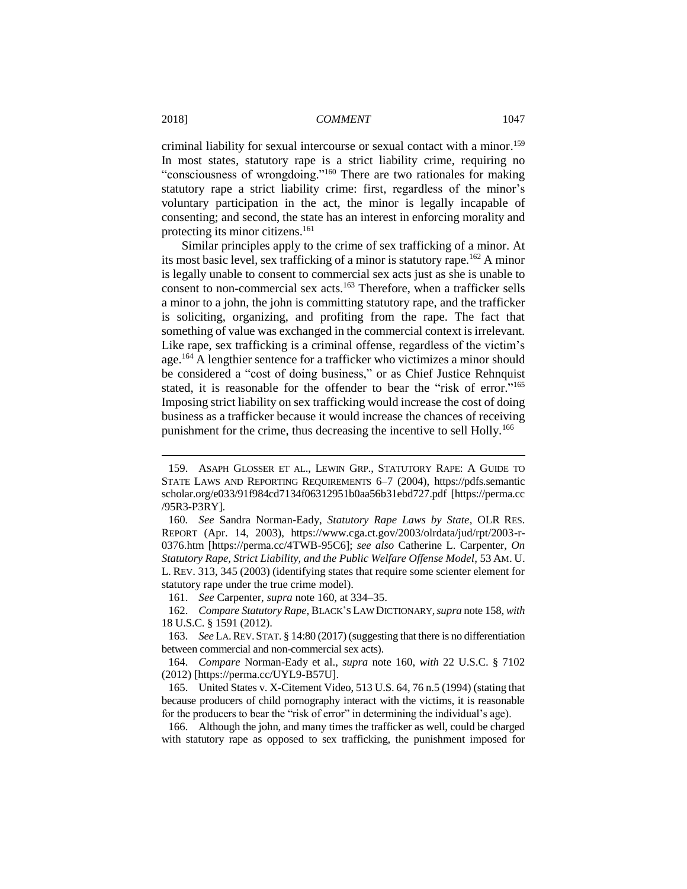criminal liability for sexual intercourse or sexual contact with a minor. 159 In most states, statutory rape is a strict liability crime, requiring no "consciousness of wrongdoing." <sup>160</sup> There are two rationales for making statutory rape a strict liability crime: first, regardless of the minor's voluntary participation in the act, the minor is legally incapable of consenting; and second, the state has an interest in enforcing morality and protecting its minor citizens.<sup>161</sup>

Similar principles apply to the crime of sex trafficking of a minor. At its most basic level, sex trafficking of a minor is statutory rape.<sup>162</sup> A minor is legally unable to consent to commercial sex acts just as she is unable to consent to non-commercial sex acts.<sup>163</sup> Therefore, when a trafficker sells a minor to a john, the john is committing statutory rape, and the trafficker is soliciting, organizing, and profiting from the rape. The fact that something of value was exchanged in the commercial context is irrelevant. Like rape, sex trafficking is a criminal offense, regardless of the victim's age. <sup>164</sup> A lengthier sentence for a trafficker who victimizes a minor should be considered a "cost of doing business," or as Chief Justice Rehnquist stated, it is reasonable for the offender to bear the "risk of error."<sup>165</sup> Imposing strict liability on sex trafficking would increase the cost of doing business as a trafficker because it would increase the chances of receiving punishment for the crime, thus decreasing the incentive to sell Holly.<sup>166</sup>

<sup>159.</sup> ASAPH GLOSSER ET AL., LEWIN GRP., STATUTORY RAPE: A GUIDE TO STATE LAWS AND REPORTING REQUIREMENTS 6–7 (2004), https://pdfs.semantic scholar.org/e033/91f984cd7134f06312951b0aa56b31ebd727.pdf [https://perma.cc /95R3-P3RY].

<sup>160</sup>*. See* Sandra Norman-Eady, *Statutory Rape Laws by State*, OLR RES. REPORT (Apr. 14, 2003), https://www.cga.ct.gov/2003/olrdata/jud/rpt/2003-r-0376.htm [https://perma.cc/4TWB-95C6]; *see also* Catherine L. Carpenter, *On Statutory Rape, Strict Liability, and the Public Welfare Offense Model*, 53 AM. U. L. REV. 313, 345 (2003) (identifying states that require some scienter element for statutory rape under the true crime model).

<sup>161.</sup> *See* Carpenter, *supra* note 160, at 334–35.

<sup>162.</sup> *Compare Statutory Rape*, BLACK'S LAW DICTIONARY,*supra* note 158, *with* 18 U.S.C. § 1591 (2012).

<sup>163.</sup> *See* LA.REV.STAT. § 14:80 (2017) (suggesting that there is no differentiation between commercial and non-commercial sex acts).

<sup>164.</sup> *Compare* Norman-Eady et al., *supra* note 160, *with* 22 U.S.C. § 7102 (2012) [https://perma.cc/UYL9-B57U].

<sup>165.</sup> United States v. X-Citement Video, 513 U.S. 64, 76 n.5 (1994) (stating that because producers of child pornography interact with the victims, it is reasonable for the producers to bear the "risk of error" in determining the individual's age).

<sup>166.</sup> Although the john, and many times the trafficker as well, could be charged with statutory rape as opposed to sex trafficking, the punishment imposed for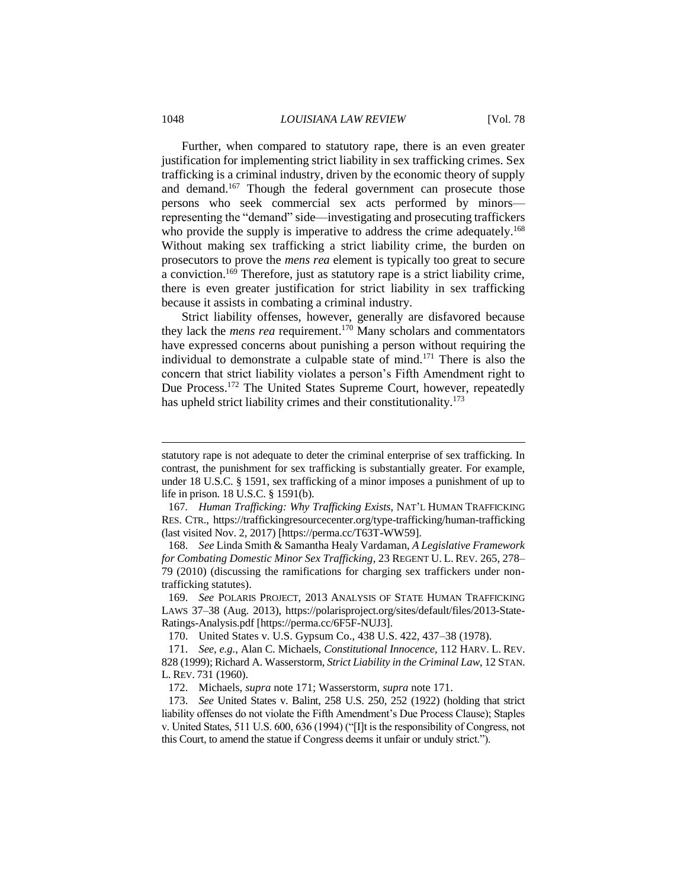#### 1048 *LOUISIANA LAW REVIEW* [Vol. 78

Further, when compared to statutory rape, there is an even greater justification for implementing strict liability in sex trafficking crimes. Sex trafficking is a criminal industry, driven by the economic theory of supply and demand.<sup>167</sup> Though the federal government can prosecute those persons who seek commercial sex acts performed by minors representing the "demand" side—investigating and prosecuting traffickers who provide the supply is imperative to address the crime adequately.<sup>168</sup> Without making sex trafficking a strict liability crime, the burden on prosecutors to prove the *mens rea* element is typically too great to secure a conviction.<sup>169</sup> Therefore, just as statutory rape is a strict liability crime, there is even greater justification for strict liability in sex trafficking because it assists in combating a criminal industry.

Strict liability offenses, however, generally are disfavored because they lack the *mens rea* requirement. <sup>170</sup> Many scholars and commentators have expressed concerns about punishing a person without requiring the individual to demonstrate a culpable state of mind.<sup>171</sup> There is also the concern that strict liability violates a person's Fifth Amendment right to Due Process.<sup>172</sup> The United States Supreme Court, however, repeatedly has upheld strict liability crimes and their constitutionality.<sup>173</sup>

statutory rape is not adequate to deter the criminal enterprise of sex trafficking. In contrast, the punishment for sex trafficking is substantially greater. For example, under 18 U.S.C. § 1591, sex trafficking of a minor imposes a punishment of up to life in prison. 18 U.S.C. § 1591(b).

<sup>167</sup>*. Human Trafficking: Why Trafficking Exists*, NAT'L HUMAN TRAFFICKING RES. CTR., https://traffickingresourcecenter.org/type-trafficking/human-trafficking (last visited Nov. 2, 2017) [https://perma.cc/T63T-WW59].

<sup>168.</sup> *See* Linda Smith & Samantha Healy Vardaman, *A Legislative Framework for Combating Domestic Minor Sex Trafficking*, 23 REGENT U. L. REV. 265, 278– 79 (2010) (discussing the ramifications for charging sex traffickers under nontrafficking statutes).

<sup>169.</sup> *See* POLARIS PROJECT, 2013 ANALYSIS OF STATE HUMAN TRAFFICKING LAWS 37–38 (Aug. 2013), https://polarisproject.org/sites/default/files/2013-State-Ratings-Analysis.pdf [https://perma.cc/6F5F-NUJ3].

<sup>170.</sup> United States v. U.S. Gypsum Co., 438 U.S. 422, 437–38 (1978).

<sup>171.</sup> *See, e.g.*, Alan C. Michaels, *Constitutional Innocence*, 112 HARV. L. REV. 828 (1999); Richard A. Wasserstorm, *Strict Liability in the Criminal Law*, 12 STAN. L. REV. 731 (1960).

<sup>172.</sup> Michaels, *supra* note 171; Wasserstorm, *supra* note 171.

<sup>173.</sup> *See* United States v. Balint, 258 U.S. 250, 252 (1922) (holding that strict liability offenses do not violate the Fifth Amendment's Due Process Clause); Staples v. United States, 511 U.S. 600, 636 (1994) ("[I]t is the responsibility of Congress, not this Court, to amend the statue if Congress deems it unfair or unduly strict.").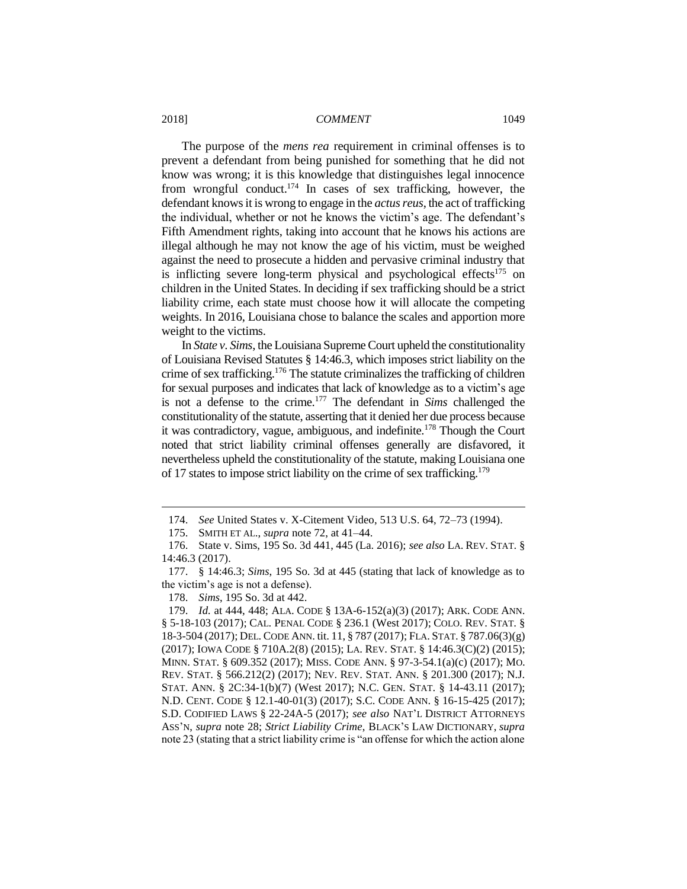The purpose of the *mens rea* requirement in criminal offenses is to prevent a defendant from being punished for something that he did not know was wrong; it is this knowledge that distinguishes legal innocence from wrongful conduct.<sup>174</sup> In cases of sex trafficking, however, the defendant knows it is wrong to engage in the *actus reus*, the act of trafficking the individual, whether or not he knows the victim's age. The defendant's Fifth Amendment rights, taking into account that he knows his actions are illegal although he may not know the age of his victim, must be weighed against the need to prosecute a hidden and pervasive criminal industry that is inflicting severe long-term physical and psychological effects $175$  on children in the United States. In deciding if sex trafficking should be a strict liability crime, each state must choose how it will allocate the competing weights. In 2016, Louisiana chose to balance the scales and apportion more weight to the victims.

In *State v. Sims*, the Louisiana Supreme Court upheld the constitutionality of Louisiana Revised Statutes § 14:46.3, which imposes strict liability on the crime of sex trafficking.<sup>176</sup> The statute criminalizes the trafficking of children for sexual purposes and indicates that lack of knowledge as to a victim's age is not a defense to the crime.<sup>177</sup> The defendant in *Sims* challenged the constitutionality of the statute, asserting that it denied her due process because it was contradictory, vague, ambiguous, and indefinite.<sup>178</sup> Though the Court noted that strict liability criminal offenses generally are disfavored, it nevertheless upheld the constitutionality of the statute, making Louisiana one of 17 states to impose strict liability on the crime of sex trafficking.<sup>179</sup>

<sup>174.</sup> *See* United States v. X-Citement Video, 513 U.S. 64, 72–73 (1994).

<sup>175.</sup> SMITH ET AL., *supra* note 72, at 41–44.

<sup>176.</sup> State v. Sims, 195 So. 3d 441, 445 (La. 2016); *see also* LA. REV. STAT. § 14:46.3 (2017).

<sup>177.</sup> § 14:46.3; *Sims*, 195 So. 3d at 445 (stating that lack of knowledge as to the victim's age is not a defense).

<sup>178.</sup> *Sims*, 195 So. 3d at 442.

<sup>179.</sup> *Id.* at 444, 448; ALA. CODE § 13A-6-152(a)(3) (2017); ARK. CODE ANN. § 5-18-103 (2017); CAL. PENAL CODE § 236.1 (West 2017); COLO. REV. STAT. § 18-3-504 (2017); DEL. CODE ANN. tit. 11, § 787 (2017); FLA. STAT. § 787.06(3)(g) (2017); IOWA CODE § 710A.2(8) (2015); LA. REV. STAT. § 14:46.3(C)(2) (2015); MINN. STAT. § 609.352 (2017); MISS. CODE ANN. § 97-3-54.1(a)(c) (2017); MO. REV. STAT. § 566.212(2) (2017); NEV. REV. STAT. ANN. § 201.300 (2017); N.J. STAT. ANN. § 2C:34-1(b)(7) (West 2017); N.C. GEN. STAT. § 14-43.11 (2017); N.D. CENT. CODE § 12.1-40-01(3) (2017); S.C. CODE ANN. § 16-15-425 (2017); S.D. CODIFIED LAWS § 22-24A-5 (2017); *see also* NAT'L DISTRICT ATTORNEYS ASS'N, *supra* note 28; *Strict Liability Crime*, BLACK'S LAW DICTIONARY, *supra*  note 23 (stating that a strict liability crime is "an offense for which the action alone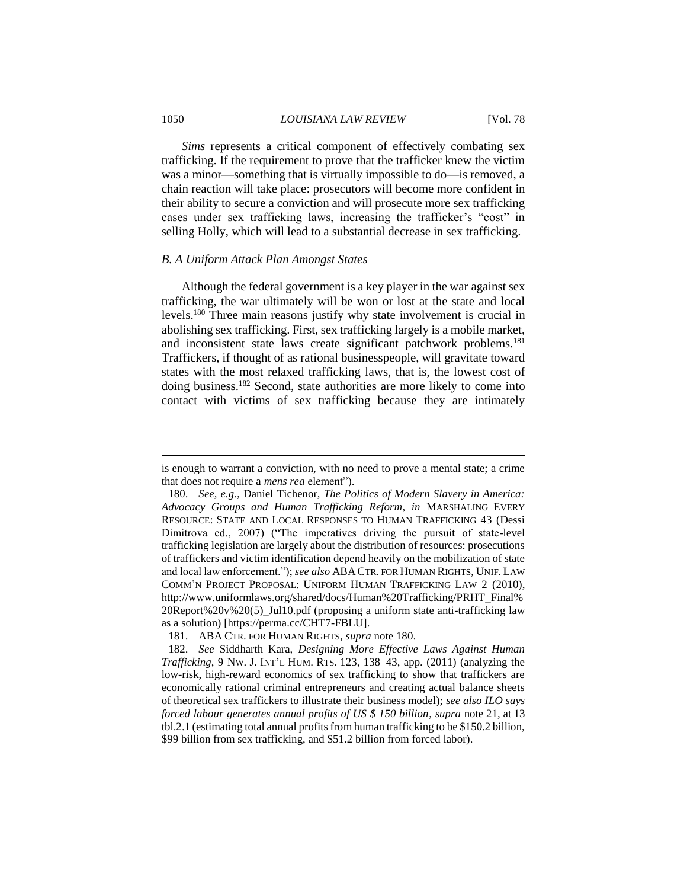#### 1050 *LOUISIANA LAW REVIEW* [Vol. 78

*Sims* represents a critical component of effectively combating sex trafficking. If the requirement to prove that the trafficker knew the victim was a minor—something that is virtually impossible to do—is removed, a chain reaction will take place: prosecutors will become more confident in their ability to secure a conviction and will prosecute more sex trafficking cases under sex trafficking laws, increasing the trafficker's "cost" in selling Holly, which will lead to a substantial decrease in sex trafficking.

#### *B. A Uniform Attack Plan Amongst States*

Although the federal government is a key player in the war against sex trafficking, the war ultimately will be won or lost at the state and local levels.<sup>180</sup> Three main reasons justify why state involvement is crucial in abolishing sex trafficking. First, sex trafficking largely is a mobile market, and inconsistent state laws create significant patchwork problems.<sup>181</sup> Traffickers, if thought of as rational businesspeople, will gravitate toward states with the most relaxed trafficking laws, that is, the lowest cost of doing business.<sup>182</sup> Second, state authorities are more likely to come into contact with victims of sex trafficking because they are intimately

is enough to warrant a conviction, with no need to prove a mental state; a crime that does not require a *mens rea* element").

<sup>180.</sup> *See, e.g.*, Daniel Tichenor, *The Politics of Modern Slavery in America: Advocacy Groups and Human Trafficking Reform*, *in* MARSHALING EVERY RESOURCE: STATE AND LOCAL RESPONSES TO HUMAN TRAFFICKING 43 (Dessi Dimitrova ed., 2007) ("The imperatives driving the pursuit of state-level trafficking legislation are largely about the distribution of resources: prosecutions of traffickers and victim identification depend heavily on the mobilization of state and local law enforcement."); *see also* ABA CTR. FOR HUMAN RIGHTS, UNIF. LAW COMM'N PROJECT PROPOSAL: UNIFORM HUMAN TRAFFICKING LAW 2 (2010), http://www.uniformlaws.org/shared/docs/Human%20Trafficking/PRHT\_Final% 20Report%20v%20(5)\_Jul10.pdf (proposing a uniform state anti-trafficking law as a solution) [https://perma.cc/CHT7-FBLU].

<sup>181.</sup> ABA CTR. FOR HUMAN RIGHTS, *supra* note 180.

<sup>182.</sup> *See* Siddharth Kara, *Designing More Effective Laws Against Human Trafficking*, 9 NW. J. INT'L HUM. RTS. 123, 138–43, app. (2011) (analyzing the low-risk, high-reward economics of sex trafficking to show that traffickers are economically rational criminal entrepreneurs and creating actual balance sheets of theoretical sex traffickers to illustrate their business model); *see also ILO says forced labour generates annual profits of US \$ 150 billion*, *supra* note 21, at 13 tbl.2.1 (estimating total annual profits from human trafficking to be \$150.2 billion, \$99 billion from sex trafficking, and \$51.2 billion from forced labor).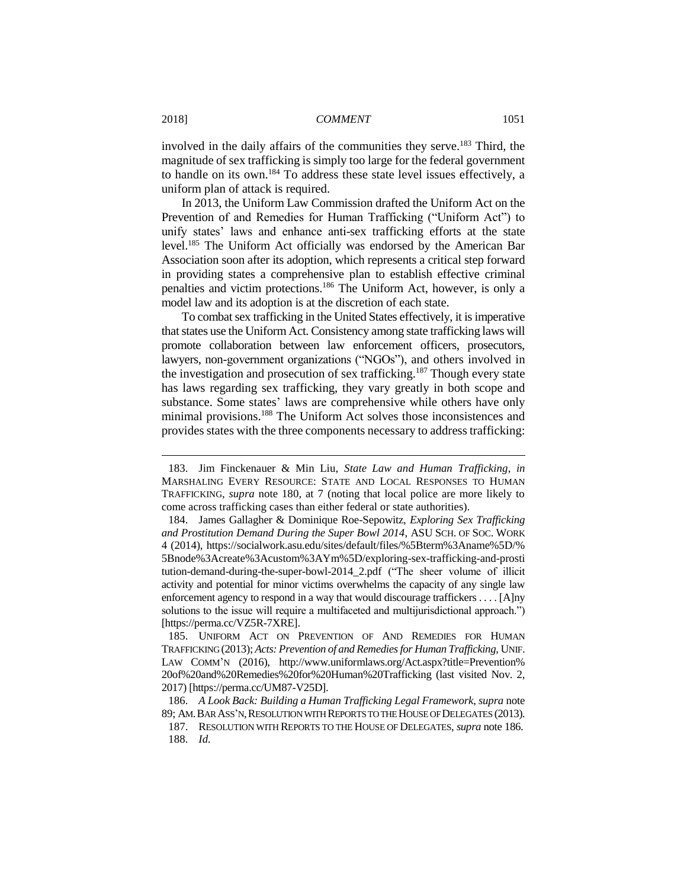involved in the daily affairs of the communities they serve.<sup>183</sup> Third, the magnitude of sex trafficking is simply too large for the federal government to handle on its own.<sup>184</sup> To address these state level issues effectively, a uniform plan of attack is required.

In 2013, the Uniform Law Commission drafted the Uniform Act on the Prevention of and Remedies for Human Trafficking ("Uniform Act") to unify states' laws and enhance anti-sex trafficking efforts at the state level.<sup>185</sup> The Uniform Act officially was endorsed by the American Bar Association soon after its adoption, which represents a critical step forward in providing states a comprehensive plan to establish effective criminal penalties and victim protections.<sup>186</sup> The Uniform Act, however, is only a model law and its adoption is at the discretion of each state.

To combat sex trafficking in the United States effectively, it is imperative that states use the Uniform Act. Consistency among state trafficking laws will promote collaboration between law enforcement officers, prosecutors, lawyers, non-government organizations ("NGOs"), and others involved in the investigation and prosecution of sex trafficking.<sup>187</sup> Though every state has laws regarding sex trafficking, they vary greatly in both scope and substance. Some states' laws are comprehensive while others have only minimal provisions.<sup>188</sup> The Uniform Act solves those inconsistences and provides states with the three components necessary to address trafficking:

<sup>183.</sup> Jim Finckenauer & Min Liu, *State Law and Human Trafficking*, *in*  MARSHALING EVERY RESOURCE: STATE AND LOCAL RESPONSES TO HUMAN TRAFFICKING, *supra* note 180, at 7 (noting that local police are more likely to come across trafficking cases than either federal or state authorities).

<sup>184.</sup> James Gallagher & Dominique Roe-Sepowitz, *Exploring Sex Trafficking and Prostitution Demand During the Super Bowl 2014*, ASU SCH. OF SOC. WORK 4 (2014), https://socialwork.asu.edu/sites/default/files/%5Bterm%3Aname%5D/% 5Bnode%3Acreate%3Acustom%3AYm%5D/exploring-sex-trafficking-and-prosti tution-demand-during-the-super-bowl-2014\_2.pdf ("The sheer volume of illicit activity and potential for minor victims overwhelms the capacity of any single law enforcement agency to respond in a way that would discourage traffickers . . . . [A]ny solutions to the issue will require a multifaceted and multijurisdictional approach.") [https://perma.cc/VZ5R-7XRE].

<sup>185.</sup> UNIFORM ACT ON PREVENTION OF AND REMEDIES FOR HUMAN TRAFFICKING (2013); *Acts: Prevention of and Remedies for Human Trafficking*, UNIF. LAW COMM'N (2016), http://www.uniformlaws.org/Act.aspx?title=Prevention% 20of%20and%20Remedies%20for%20Human%20Trafficking (last visited Nov. 2, 2017) [https://perma.cc/UM87-V25D].

<sup>186.</sup> *A Look Back: Building a Human Trafficking Legal Framework*, *supra* note 89; AM.BAR ASS'N,RESOLUTION WITH REPORTS TO THE HOUSE OF DELEGATES (2013).

<sup>187.</sup> RESOLUTION WITH REPORTS TO THE HOUSE OF DELEGATES, *supra* note 186. 188. *Id.*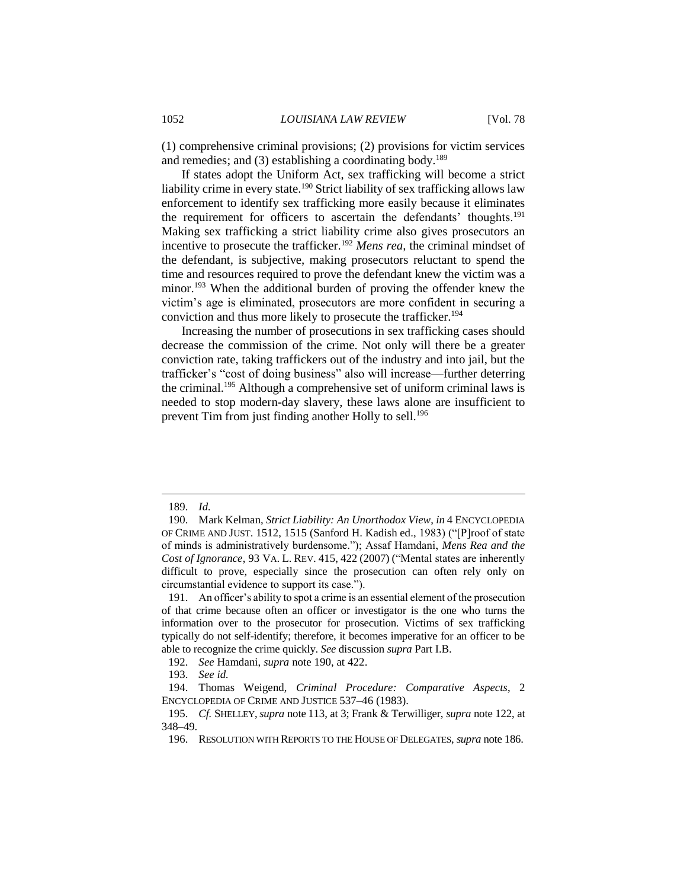(1) comprehensive criminal provisions; (2) provisions for victim services and remedies; and  $(3)$  establishing a coordinating body.<sup>189</sup>

If states adopt the Uniform Act, sex trafficking will become a strict liability crime in every state.<sup>190</sup> Strict liability of sex trafficking allows law enforcement to identify sex trafficking more easily because it eliminates the requirement for officers to ascertain the defendants' thoughts.<sup>191</sup> Making sex trafficking a strict liability crime also gives prosecutors an incentive to prosecute the trafficker.<sup>192</sup> *Mens rea*, the criminal mindset of the defendant*,* is subjective, making prosecutors reluctant to spend the time and resources required to prove the defendant knew the victim was a minor.<sup>193</sup> When the additional burden of proving the offender knew the victim's age is eliminated, prosecutors are more confident in securing a conviction and thus more likely to prosecute the trafficker.<sup>194</sup>

Increasing the number of prosecutions in sex trafficking cases should decrease the commission of the crime. Not only will there be a greater conviction rate, taking traffickers out of the industry and into jail, but the trafficker's "cost of doing business" also will increase—further deterring the criminal.<sup>195</sup> Although a comprehensive set of uniform criminal laws is needed to stop modern-day slavery, these laws alone are insufficient to prevent Tim from just finding another Holly to sell.<sup>196</sup>

<sup>189.</sup> *Id.*

<sup>190.</sup> Mark Kelman, *Strict Liability: An Unorthodox View*, *in* 4 ENCYCLOPEDIA OF CRIME AND JUST. 1512, 1515 (Sanford H. Kadish ed., 1983) ("[P]roof of state of minds is administratively burdensome."); Assaf Hamdani, *Mens Rea and the Cost of Ignorance*, 93 VA. L. REV. 415, 422 (2007) ("Mental states are inherently difficult to prove, especially since the prosecution can often rely only on circumstantial evidence to support its case.").

<sup>191.</sup> An officer's ability to spot a crime is an essential element of the prosecution of that crime because often an officer or investigator is the one who turns the information over to the prosecutor for prosecution. Victims of sex trafficking typically do not self-identify; therefore, it becomes imperative for an officer to be able to recognize the crime quickly. *See* discussion *supra* Part I.B.

<sup>192.</sup> *See* Hamdani, *supra* note 190, at 422.

<sup>193.</sup> *See id.*

<sup>194.</sup> Thomas Weigend, *Criminal Procedure: Comparative Aspects*, 2 ENCYCLOPEDIA OF CRIME AND JUSTICE 537–46 (1983).

<sup>195.</sup> *Cf.* SHELLEY,*supra* note 113, at 3; Frank & Terwilliger, *supra* note 122, at 348–49.

<sup>196.</sup> RESOLUTION WITH REPORTS TO THE HOUSE OF DELEGATES, *supra* note 186.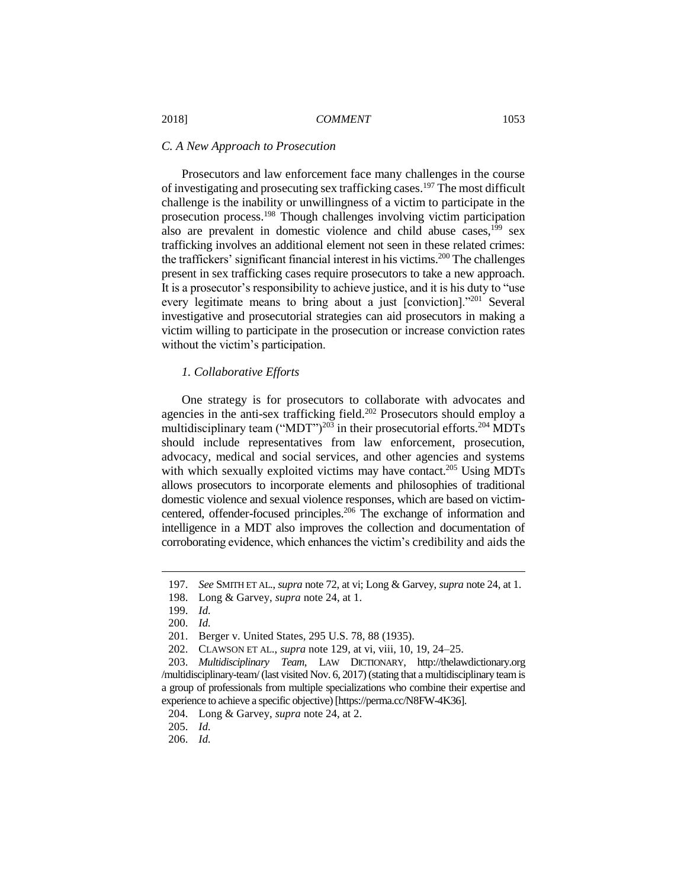#### *C. A New Approach to Prosecution*

Prosecutors and law enforcement face many challenges in the course of investigating and prosecuting sex trafficking cases.<sup>197</sup> The most difficult challenge is the inability or unwillingness of a victim to participate in the prosecution process.<sup>198</sup> Though challenges involving victim participation also are prevalent in domestic violence and child abuse cases,<sup>199</sup> sex trafficking involves an additional element not seen in these related crimes: the traffickers' significant financial interest in his victims.<sup>200</sup> The challenges present in sex trafficking cases require prosecutors to take a new approach. It is a prosecutor's responsibility to achieve justice, and it is his duty to "use every legitimate means to bring about a just [conviction]."201 Several investigative and prosecutorial strategies can aid prosecutors in making a victim willing to participate in the prosecution or increase conviction rates without the victim's participation.

#### *1. Collaborative Efforts*

One strategy is for prosecutors to collaborate with advocates and agencies in the anti-sex trafficking field.<sup>202</sup> Prosecutors should employ a multidisciplinary team ("MDT")<sup>203</sup> in their prosecutorial efforts.<sup>204</sup> MDTs should include representatives from law enforcement, prosecution, advocacy, medical and social services, and other agencies and systems with which sexually exploited victims may have contact.<sup>205</sup> Using MDTs allows prosecutors to incorporate elements and philosophies of traditional domestic violence and sexual violence responses, which are based on victimcentered, offender-focused principles.<sup>206</sup> The exchange of information and intelligence in a MDT also improves the collection and documentation of corroborating evidence, which enhances the victim's credibility and aids the

<sup>197.</sup> *See* SMITH ET AL., *supra* note 72, at vi; Long & Garvey, *supra* note 24, at 1.

<sup>198.</sup> Long & Garvey, *supra* note 24, at 1.

<sup>199.</sup> *Id.*

<sup>200.</sup> *Id.*

<sup>201.</sup> Berger v. United States, 295 U.S. 78, 88 (1935).

<sup>202.</sup> CLAWSON ET AL., *supra* note 129, at vi, viii, 10, 19, 24–25.

<sup>203.</sup> *Multidisciplinary Team*, LAW DICTIONARY, http://thelawdictionary.org /multidisciplinary-team/ (last visited Nov. 6, 2017) (stating that a multidisciplinary team is a group of professionals from multiple specializations who combine their expertise and experience to achieve a specific objective) [https://perma.cc/N8FW-4K36].

<sup>204.</sup> Long & Garvey, *supra* note 24, at 2.

<sup>205.</sup> *Id.*

<sup>206.</sup> *Id.*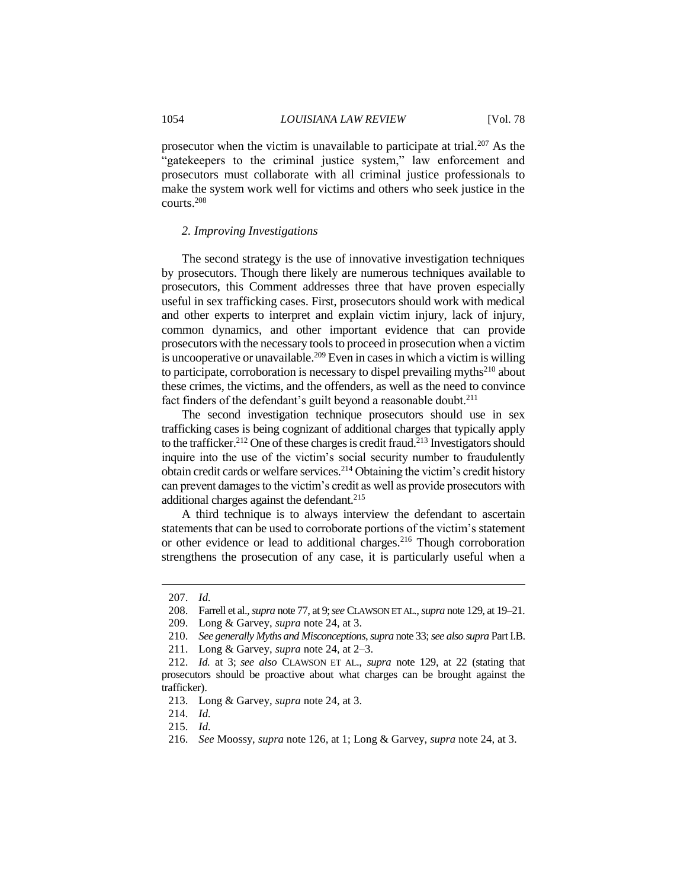prosecutor when the victim is unavailable to participate at trial.<sup>207</sup> As the "gatekeepers to the criminal justice system," law enforcement and prosecutors must collaborate with all criminal justice professionals to make the system work well for victims and others who seek justice in the courts.<sup>208</sup>

#### *2. Improving Investigations*

The second strategy is the use of innovative investigation techniques by prosecutors. Though there likely are numerous techniques available to prosecutors, this Comment addresses three that have proven especially useful in sex trafficking cases. First, prosecutors should work with medical and other experts to interpret and explain victim injury, lack of injury, common dynamics, and other important evidence that can provide prosecutors with the necessary tools to proceed in prosecution when a victim is uncooperative or unavailable.<sup>209</sup> Even in cases in which a victim is willing to participate, corroboration is necessary to dispel prevailing myths<sup>210</sup> about these crimes, the victims, and the offenders, as well as the need to convince fact finders of the defendant's guilt beyond a reasonable doubt.<sup>211</sup>

The second investigation technique prosecutors should use in sex trafficking cases is being cognizant of additional charges that typically apply to the trafficker.<sup>212</sup> One of these charges is credit fraud.<sup>213</sup> Investigators should inquire into the use of the victim's social security number to fraudulently obtain credit cards or welfare services.<sup>214</sup> Obtaining the victim's credit history can prevent damages to the victim's credit as well as provide prosecutors with additional charges against the defendant.<sup>215</sup>

A third technique is to always interview the defendant to ascertain statements that can be used to corroborate portions of the victim's statement or other evidence or lead to additional charges.<sup>216</sup> Though corroboration strengthens the prosecution of any case, it is particularly useful when a

<sup>207.</sup> *Id.*

<sup>208.</sup> Farrell et al., *supra* note 77, at 9;*see* CLAWSON ET AL., *supra* note 129, at 19–21.

<sup>209.</sup> Long & Garvey, *supra* note 24, at 3.

<sup>210.</sup> *See generally Myths and Misconceptions*, *supra* note 33; *see also supra* Part I.B.

<sup>211.</sup> Long & Garvey, *supra* note 24, at 2–3.

<sup>212.</sup> *Id.* at 3; *see also* CLAWSON ET AL., *supra* note 129, at 22 (stating that prosecutors should be proactive about what charges can be brought against the trafficker).

<sup>213.</sup> Long & Garvey, *supra* note 24, at 3.

<sup>214.</sup> *Id.* 

<sup>215.</sup> *Id.*

<sup>216.</sup> *See* Moossy, *supra* note 126, at 1; Long & Garvey, *supra* note 24, at 3.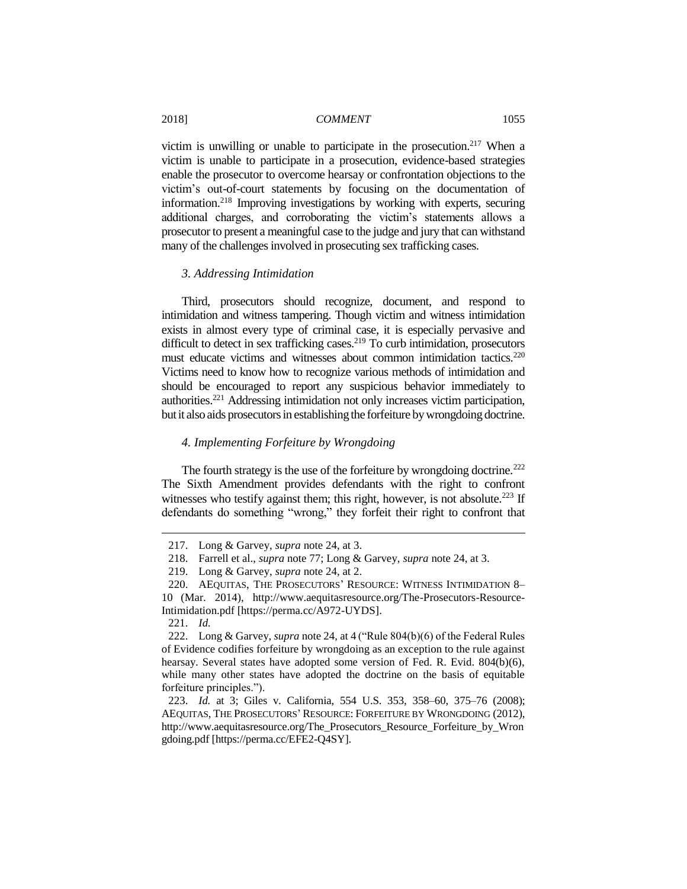victim is unwilling or unable to participate in the prosecution.<sup>217</sup> When a victim is unable to participate in a prosecution, evidence-based strategies enable the prosecutor to overcome hearsay or confrontation objections to the victim's out-of-court statements by focusing on the documentation of information.<sup>218</sup> Improving investigations by working with experts, securing additional charges, and corroborating the victim's statements allows a prosecutor to present a meaningful case to the judge and jury that can withstand many of the challenges involved in prosecuting sex trafficking cases.

# *3. Addressing Intimidation*

Third, prosecutors should recognize, document, and respond to intimidation and witness tampering. Though victim and witness intimidation exists in almost every type of criminal case, it is especially pervasive and difficult to detect in sex trafficking cases.<sup>219</sup> To curb intimidation, prosecutors must educate victims and witnesses about common intimidation tactics.<sup>220</sup> Victims need to know how to recognize various methods of intimidation and should be encouraged to report any suspicious behavior immediately to authorities.<sup>221</sup> Addressing intimidation not only increases victim participation, but it also aids prosecutors in establishing the forfeiture by wrongdoing doctrine.

#### *4. Implementing Forfeiture by Wrongdoing*

The fourth strategy is the use of the forfeiture by wrongdoing doctrine.<sup>222</sup> The Sixth Amendment provides defendants with the right to confront witnesses who testify against them; this right, however, is not absolute.<sup>223</sup> If defendants do something "wrong," they forfeit their right to confront that

<sup>217.</sup> Long & Garvey, *supra* note 24, at 3.

<sup>218.</sup> Farrell et al., *supra* note 77; Long & Garvey, *supra* note 24, at 3.

<sup>219.</sup> Long & Garvey, *supra* note 24, at 2.

<sup>220.</sup> AEQUITAS, THE PROSECUTORS' RESOURCE: WITNESS INTIMIDATION 8– 10 (Mar. 2014), http://www.aequitasresource.org/The-Prosecutors-Resource-Intimidation.pdf [https://perma.cc/A972-UYDS].

<sup>221.</sup> *Id.*

<sup>222.</sup> Long & Garvey, *supra* note 24, at 4 ("Rule 804(b)(6) of the Federal Rules of Evidence codifies forfeiture by wrongdoing as an exception to the rule against hearsay. Several states have adopted some version of Fed. R. Evid. 804(b)(6), while many other states have adopted the doctrine on the basis of equitable forfeiture principles.").

<sup>223.</sup> *Id.* at 3; Giles v. California, 554 U.S. 353, 358–60, 375–76 (2008); AEQUITAS, THE PROSECUTORS' RESOURCE: FORFEITURE BY WRONGDOING (2012), http://www.aequitasresource.org/The\_Prosecutors\_Resource\_Forfeiture\_by\_Wron gdoing.pdf [https://perma.cc/EFE2-Q4SY].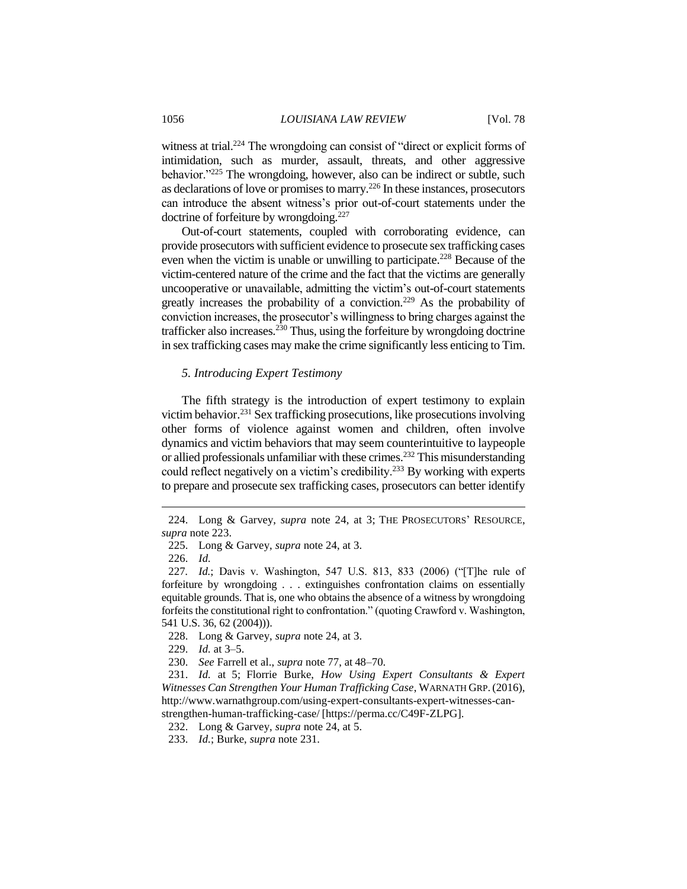witness at trial.<sup>224</sup> The wrongdoing can consist of "direct or explicit forms of intimidation, such as murder, assault, threats, and other aggressive behavior."<sup>225</sup> The wrongdoing, however, also can be indirect or subtle, such as declarations of love or promises to marry.<sup>226</sup> In these instances, prosecutors can introduce the absent witness's prior out-of-court statements under the doctrine of forfeiture by wrongdoing.<sup>227</sup>

Out-of-court statements, coupled with corroborating evidence, can provide prosecutors with sufficient evidence to prosecute sex trafficking cases even when the victim is unable or unwilling to participate.<sup>228</sup> Because of the victim-centered nature of the crime and the fact that the victims are generally uncooperative or unavailable, admitting the victim's out-of-court statements greatly increases the probability of a conviction.<sup>229</sup> As the probability of conviction increases, the prosecutor's willingness to bring charges against the trafficker also increases.<sup>230</sup> Thus, using the forfeiture by wrongdoing doctrine in sex trafficking cases may make the crime significantly less enticing to Tim.

#### *5. Introducing Expert Testimony*

The fifth strategy is the introduction of expert testimony to explain victim behavior.<sup>231</sup> Sex trafficking prosecutions, like prosecutions involving other forms of violence against women and children, often involve dynamics and victim behaviors that may seem counterintuitive to laypeople or allied professionals unfamiliar with these crimes.<sup>232</sup> This misunderstanding could reflect negatively on a victim's credibility.<sup>233</sup> By working with experts to prepare and prosecute sex trafficking cases, prosecutors can better identify

<sup>224.</sup> Long & Garvey, *supra* note 24, at 3; THE PROSECUTORS' RESOURCE, *supra* note 223.

<sup>225.</sup> Long & Garvey, *supra* note 24, at 3.

<sup>226.</sup> *Id.*

<sup>227</sup>*. Id.*; Davis v. Washington, 547 U.S. 813, 833 (2006) ("[T]he rule of forfeiture by wrongdoing . . . extinguishes confrontation claims on essentially equitable grounds. That is, one who obtains the absence of a witness by wrongdoing forfeits the constitutional right to confrontation." (quoting Crawford v. Washington, 541 U.S. 36, 62 (2004))).

<sup>228.</sup> Long & Garvey, *supra* note 24, at 3.

<sup>229.</sup> *Id.* at 3–5.

<sup>230.</sup> *See* Farrell et al., *supra* note 77, at 48–70.

<sup>231.</sup> *Id.* at 5; Florrie Burke, *How Using Expert Consultants & Expert Witnesses Can Strengthen Your Human Trafficking Case*, WARNATH GRP. (2016), http://www.warnathgroup.com/using-expert-consultants-expert-witnesses-canstrengthen-human-trafficking-case/ [https://perma.cc/C49F-ZLPG].

<sup>232.</sup> Long & Garvey, *supra* note 24, at 5.

<sup>233.</sup> *Id.*; Burke, *supra* note 231.